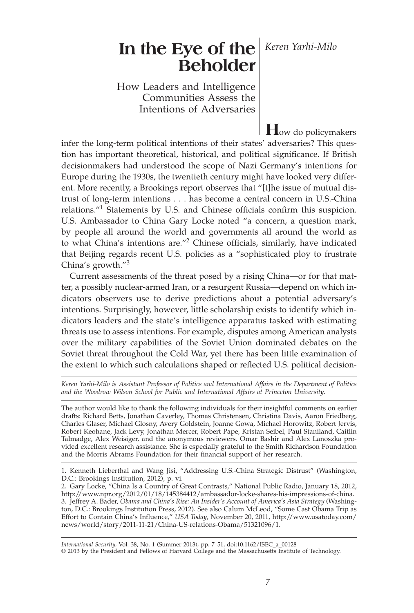# **In the Eye of the** *Keren Yarhi-Milo* **Beholder**

How Leaders and Intelligence Communities Assess the Intentions of Adversaries

**H**ow do policymakers infer the long-term political intentions of their states' adversaries? This question has important theoretical, historical, and political significance. If British decisionmakers had understood the scope of Nazi Germany's intentions for Europe during the 1930s, the twentieth century might have looked very different. More recently, a Brookings report observes that "[t]he issue of mutual distrust of long-term intentions . . . has become a central concern in U.S.-China relations."<sup>1</sup> Statements by U.S. and Chinese officials confirm this suspicion. U.S. Ambassador to China Gary Locke noted "a concern, a question mark, by people all around the world and governments all around the world as to what China's intentions are."<sup>2</sup> Chinese officials, similarly, have indicated that Beijing regards recent U.S. policies as a "sophisticated ploy to frustrate China's growth."<sup>3</sup>

Current assessments of the threat posed by a rising China—or for that matter, a possibly nuclear-armed Iran, or a resurgent Russia—depend on which indicators observers use to derive predictions about a potential adversary's intentions. Surprisingly, however, little scholarship exists to identify which indicators leaders and the state's intelligence apparatus tasked with estimating threats use to assess intentions. For example, disputes among American analysts over the military capabilities of the Soviet Union dominated debates on the Soviet threat throughout the Cold War, yet there has been little examination of the extent to which such calculations shaped or reflected U.S. political decision-

*Keren Yarhi-Milo is Assistant Professor of Politics and International Affairs in the Department of Politics and the Woodrow Wilson School for Public and International Affairs at Princeton University*.

The author would like to thank the following individuals for their insightful comments on earlier drafts: Richard Betts, Jonathan Caverley, Thomas Christensen, Christina Davis, Aaron Friedberg, Charles Glaser, Michael Glosny, Avery Goldstein, Joanne Gowa, Michael Horowitz, Robert Jervis, Robert Keohane, Jack Levy, Jonathan Mercer, Robert Pape, Kristan Seibel, Paul Staniland, Caitlin Talmadge, Alex Weisiger, and the anonymous reviewers. Omar Bashir and Alex Lanoszka provided excellent research assistance. She is especially grateful to the Smith Richardson Foundation and the Morris Abrams Foundation for their financial support of her research.

1. Kenneth Lieberthal and Wang Jisi, "Addressing U.S.-China Strategic Distrust" (Washington, D.C.: Brookings Institution, 2012), p. vi.

*International Security,* Vol. 38, No. 1 (Summer 2013), pp. 7–51, doi:10.1162/ISEC\_a\_00128 © 2013 by the President and Fellows of Harvard College and the Massachusetts Institute of Technology.

<sup>2.</sup> Gary Locke, "China Is a Country of Great Contrasts," National Public Radio, January 18, 2012, http://www.npr.org/2012/01/18/145384412/ambassador-locke-shares-his-impressions-of-china. 3. Jeffrey A. Bader, *Obama and China's Rise: An Insider's Account of America's Asia Strategy* (Washington, D.C.: Brookings Institution Press, 2012). See also Calum McLeod, "Some Cast Obama Trip as Effort to Contain China's Influence," *USA Today*, November 20, 2011, http://www.usatoday.com/ news/world/story/2011-11-21/China-US-relations-Obama/51321096/1.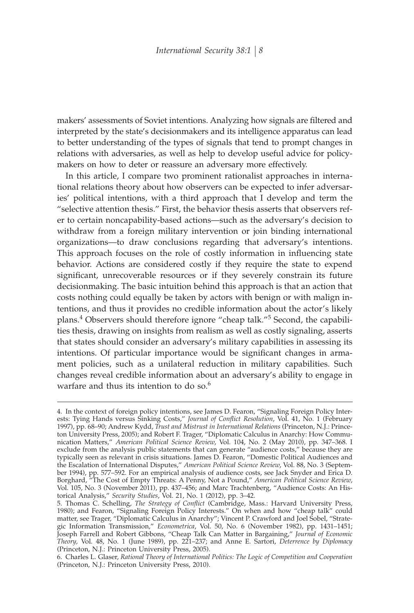makers' assessments of Soviet intentions. Analyzing how signals are filtered and interpreted by the state's decisionmakers and its intelligence apparatus can lead to better understanding of the types of signals that tend to prompt changes in relations with adversaries, as well as help to develop useful advice for policymakers on how to deter or reassure an adversary more effectively.

In this article, I compare two prominent rationalist approaches in international relations theory about how observers can be expected to infer adversaries' political intentions, with a third approach that I develop and term the "selective attention thesis." First, the behavior thesis asserts that observers refer to certain noncapability-based actions—such as the adversary's decision to withdraw from a foreign military intervention or join binding international organizations—to draw conclusions regarding that adversary's intentions. This approach focuses on the role of costly information in influencing state behavior. Actions are considered costly if they require the state to expend significant, unrecoverable resources or if they severely constrain its future decisionmaking. The basic intuition behind this approach is that an action that costs nothing could equally be taken by actors with benign or with malign intentions, and thus it provides no credible information about the actor's likely plans.<sup>4</sup> Observers should therefore ignore "cheap talk."<sup>5</sup> Second, the capabilities thesis, drawing on insights from realism as well as costly signaling, asserts that states should consider an adversary's military capabilities in assessing its intentions. Of particular importance would be significant changes in armament policies, such as a unilateral reduction in military capabilities. Such changes reveal credible information about an adversary's ability to engage in warfare and thus its intention to do so. $6<sup>6</sup>$ 

<sup>4.</sup> In the context of foreign policy intentions, see James D. Fearon, "Signaling Foreign Policy Interests: Tying Hands versus Sinking Costs," *Journal of Conflict Resolution*, Vol. 41, No. 1 (February 1997), pp. 68–90; Andrew Kydd, *Trust and Mistrust in International Relations* (Princeton, N.J.: Princeton University Press, 2005); and Robert F. Trager, "Diplomatic Calculus in Anarchy: How Communication Matters," *American Political Science Review*, Vol. 104, No. 2 (May 2010), pp. 347–368. I exclude from the analysis public statements that can generate "audience costs," because they are typically seen as relevant in crisis situations. James D. Fearon, "Domestic Political Audiences and the Escalation of International Disputes," *American Political Science Review*, Vol. 88, No. 3 (September 1994), pp. 577–592. For an empirical analysis of audience costs, see Jack Snyder and Erica D. Borghard, "The Cost of Empty Threats: A Penny, Not a Pound," *American Political Science Review*, Vol. 105, No. 3 (November 2011), pp. 437–456; and Marc Trachtenberg, "Audience Costs: An Historical Analysis," *Security Studies*, Vol. 21, No. 1 (2012), pp. 3–42.

<sup>5.</sup> Thomas C. Schelling*, The Strategy of Conflict* (Cambridge, Mass.: Harvard University Press, 1980); and Fearon, "Signaling Foreign Policy Interests." On when and how "cheap talk" could matter, see Trager, "Diplomatic Calculus in Anarchy"; Vincent P. Crawford and Joel Sobel, "Strategic Information Transmission," *Econometrica*, Vol. 50, No. 6 (November 1982), pp. 1431–1451; Joseph Farrell and Robert Gibbons, "Cheap Talk Can Matter in Bargaining," *Journal of Economic Theory*, Vol. 48, No. 1 (June 1989), pp. 221–237; and Anne E. Sartori, *Deterrence by Diplomacy* (Princeton, N.J.: Princeton University Press, 2005).

<sup>6.</sup> Charles L. Glaser, *Rational Theory of International Politics: The Logic of Competition and Cooperation* (Princeton, N.J.: Princeton University Press, 2010).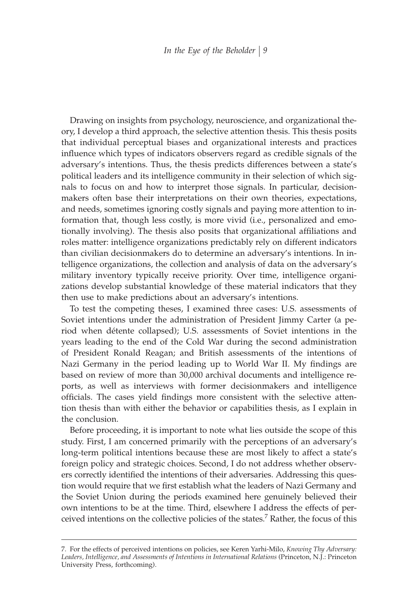Drawing on insights from psychology, neuroscience, and organizational theory, I develop a third approach, the selective attention thesis. This thesis posits that individual perceptual biases and organizational interests and practices influence which types of indicators observers regard as credible signals of the adversary's intentions. Thus, the thesis predicts differences between a state's political leaders and its intelligence community in their selection of which signals to focus on and how to interpret those signals. In particular, decisionmakers often base their interpretations on their own theories, expectations, and needs, sometimes ignoring costly signals and paying more attention to information that, though less costly, is more vivid (i.e., personalized and emotionally involving). The thesis also posits that organizational affiliations and roles matter: intelligence organizations predictably rely on different indicators than civilian decisionmakers do to determine an adversary's intentions. In intelligence organizations, the collection and analysis of data on the adversary's military inventory typically receive priority. Over time, intelligence organizations develop substantial knowledge of these material indicators that they then use to make predictions about an adversary's intentions.

To test the competing theses, I examined three cases: U.S. assessments of Soviet intentions under the administration of President Jimmy Carter (a period when détente collapsed); U.S. assessments of Soviet intentions in the years leading to the end of the Cold War during the second administration of President Ronald Reagan; and British assessments of the intentions of Nazi Germany in the period leading up to World War II. My findings are based on review of more than 30,000 archival documents and intelligence reports, as well as interviews with former decisionmakers and intelligence officials. The cases yield findings more consistent with the selective attention thesis than with either the behavior or capabilities thesis, as I explain in the conclusion.

Before proceeding, it is important to note what lies outside the scope of this study. First, I am concerned primarily with the perceptions of an adversary's long-term political intentions because these are most likely to affect a state's foreign policy and strategic choices. Second, I do not address whether observers correctly identified the intentions of their adversaries. Addressing this question would require that we first establish what the leaders of Nazi Germany and the Soviet Union during the periods examined here genuinely believed their own intentions to be at the time. Third, elsewhere I address the effects of perceived intentions on the collective policies of the states.7 Rather, the focus of this

<sup>7.</sup> For the effects of perceived intentions on policies, see Keren Yarhi-Milo, *Knowing Thy Adversary: Leaders, Intelligence, and Assessments of Intentions in International Relations* (Princeton, N.J.: Princeton University Press, forthcoming).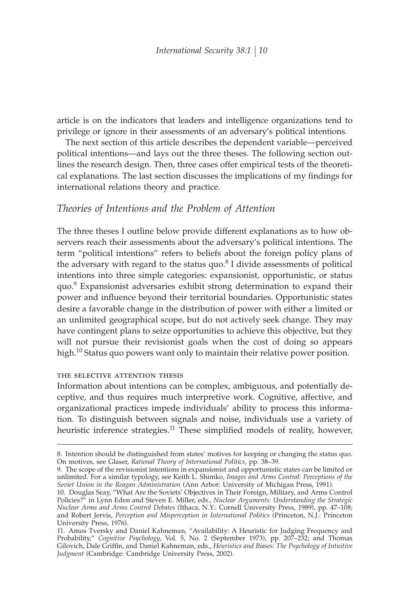article is on the indicators that leaders and intelligence organizations tend to privilege or ignore in their assessments of an adversary's political intentions.

The next section of this article describes the dependent variable—perceived political intentions—and lays out the three theses. The following section outlines the research design. Then, three cases offer empirical tests of the theoretical explanations. The last section discusses the implications of my findings for international relations theory and practice.

# *Theories of Intentions and the Problem of Attention*

The three theses I outline below provide different explanations as to how observers reach their assessments about the adversary's political intentions. The term "political intentions" refers to beliefs about the foreign policy plans of the adversary with regard to the status quo. $8$  I divide assessments of political intentions into three simple categories: expansionist, opportunistic, or status quo.<sup>9</sup> Expansionist adversaries exhibit strong determination to expand their power and influence beyond their territorial boundaries. Opportunistic states desire a favorable change in the distribution of power with either a limited or an unlimited geographical scope, but do not actively seek change. They may have contingent plans to seize opportunities to achieve this objective, but they will not pursue their revisionist goals when the cost of doing so appears high.<sup>10</sup> Status quo powers want only to maintain their relative power position.

### the selective attention thesis

Information about intentions can be complex, ambiguous, and potentially deceptive, and thus requires much interpretive work. Cognitive, affective, and organizational practices impede individuals' ability to process this information. To distinguish between signals and noise, individuals use a variety of heuristic inference strategies.<sup>11</sup> These simplified models of reality, however,

<sup>8.</sup> Intention should be distinguished from states' motives for keeping or changing the status quo. On motives, see Glaser, *Rational Theory of International Politics*, pp. 38–39.

<sup>9.</sup> The scope of the revisionist intentions in expansionist and opportunistic states can be limited or unlimited. For a similar typology, see Keith L. Shimko, *Images and Arms Control: Perceptions of the Soviet Union in the Reagan Administration* (Ann Arbor: University of Michigan Press, 1991).

<sup>10.</sup> Douglas Seay, "What Are the Soviets' Objectives in Their Foreign, Military, and Arms Control Policies?" in Lynn Eden and Steven E. Miller, eds., *Nuclear Arguments: Understanding the Strategic Nuclear Arms and Arms Control Debates* (Ithaca, N.Y.: Cornell University Press, 1989), pp. 47–108; and Robert Jervis, *Perception and Misperception in International Politics* (Princeton, N.J.: Princeton University Press, 1976).

<sup>11.</sup> Amos Tversky and Daniel Kahneman, "Availability: A Heuristic for Judging Frequency and Probability," *Cognitive Psychology*, Vol. 5, No. 2 (September 1973), pp. 207–232; and Thomas Gilovich, Dale Griffin, and Daniel Kahneman, eds., *Heuristics and Biases: The Psychology of Intuitive Judgment* (Cambridge: Cambridge University Press, 2002).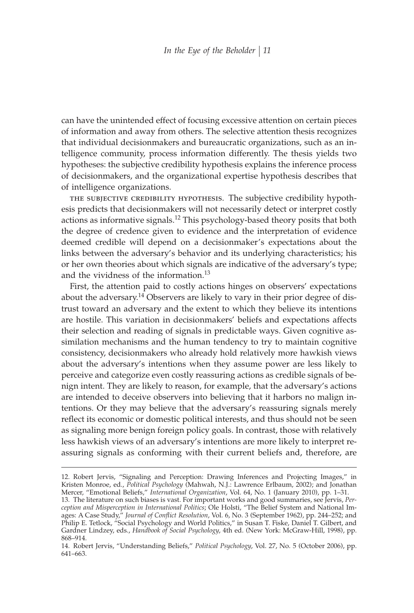can have the unintended effect of focusing excessive attention on certain pieces of information and away from others. The selective attention thesis recognizes that individual decisionmakers and bureaucratic organizations, such as an intelligence community, process information differently. The thesis yields two hypotheses: the subjective credibility hypothesis explains the inference process of decisionmakers, and the organizational expertise hypothesis describes that of intelligence organizations.

the subjective credibility hypothesis. The subjective credibility hypothesis predicts that decisionmakers will not necessarily detect or interpret costly actions as informative signals.<sup>12</sup> This psychology-based theory posits that both the degree of credence given to evidence and the interpretation of evidence deemed credible will depend on a decisionmaker's expectations about the links between the adversary's behavior and its underlying characteristics; his or her own theories about which signals are indicative of the adversary's type; and the vividness of the information.<sup>13</sup>

First, the attention paid to costly actions hinges on observers' expectations about the adversary.<sup>14</sup> Observers are likely to vary in their prior degree of distrust toward an adversary and the extent to which they believe its intentions are hostile. This variation in decisionmakers' beliefs and expectations affects their selection and reading of signals in predictable ways. Given cognitive assimilation mechanisms and the human tendency to try to maintain cognitive consistency, decisionmakers who already hold relatively more hawkish views about the adversary's intentions when they assume power are less likely to perceive and categorize even costly reassuring actions as credible signals of benign intent. They are likely to reason, for example, that the adversary's actions are intended to deceive observers into believing that it harbors no malign intentions. Or they may believe that the adversary's reassuring signals merely reflect its economic or domestic political interests, and thus should not be seen as signaling more benign foreign policy goals. In contrast, those with relatively less hawkish views of an adversary's intentions are more likely to interpret reassuring signals as conforming with their current beliefs and, therefore, are

<sup>12.</sup> Robert Jervis, "Signaling and Perception: Drawing Inferences and Projecting Images," in Kristen Monroe, ed., *Political Psychology* (Mahwah, N.J.: Lawrence Erlbaum, 2002); and Jonathan Mercer, "Emotional Beliefs," *International Organization*, Vol. 64, No. 1 (January 2010), pp. 1–31.

<sup>13.</sup> The literature on such biases is vast. For important works and good summaries, see Jervis, *Perception and Misperception in International Politics*; Ole Holsti, "The Belief System and National Images: A Case Study," *Journal of Conflict Resolution,* Vol. 6, No. 3 (September 1962), pp. 244–252; and Philip E. Tetlock, "Social Psychology and World Politics," in Susan T. Fiske, Daniel T. Gilbert, and Gardner Lindzey, eds., *Handbook of Social Psychology*, 4th ed. (New York: McGraw-Hill, 1998), pp. 868–914.

<sup>14.</sup> Robert Jervis, "Understanding Beliefs," *Political Psychology*, Vol. 27, No. 5 (October 2006), pp. 641–663.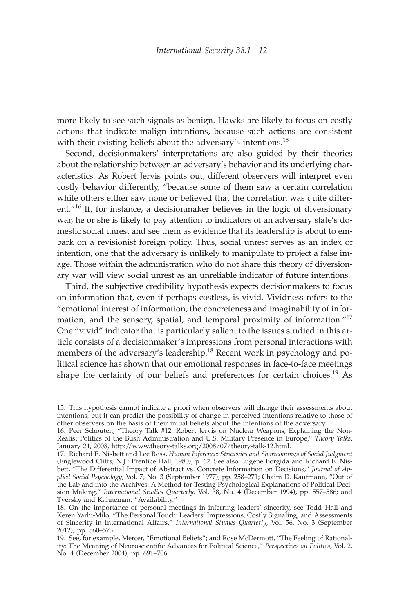more likely to see such signals as benign. Hawks are likely to focus on costly actions that indicate malign intentions, because such actions are consistent with their existing beliefs about the adversary's intentions.<sup>15</sup>

Second, decisionmakers' interpretations are also guided by their theories about the relationship between an adversary's behavior and its underlying characteristics. As Robert Jervis points out, different observers will interpret even costly behavior differently, "because some of them saw a certain correlation while others either saw none or believed that the correlation was quite different."<sup>16</sup> If, for instance, a decisionmaker believes in the logic of diversionary war, he or she is likely to pay attention to indicators of an adversary state's domestic social unrest and see them as evidence that its leadership is about to embark on a revisionist foreign policy. Thus, social unrest serves as an index of intention, one that the adversary is unlikely to manipulate to project a false image. Those within the administration who do not share this theory of diversionary war will view social unrest as an unreliable indicator of future intentions.

Third, the subjective credibility hypothesis expects decisionmakers to focus on information that, even if perhaps costless, is vivid. Vividness refers to the "emotional interest of information, the concreteness and imaginability of information, and the sensory, spatial, and temporal proximity of information."<sup>17</sup> One "vivid" indicator that is particularly salient to the issues studied in this article consists of a decisionmaker's impressions from personal interactions with members of the adversary's leadership.<sup>18</sup> Recent work in psychology and political science has shown that our emotional responses in face-to-face meetings shape the certainty of our beliefs and preferences for certain choices.<sup>19</sup> As

<sup>15.</sup> This hypothesis cannot indicate a priori when observers will change their assessments about intentions, but it can predict the possibility of change in perceived intentions relative to those of other observers on the basis of their initial beliefs about the intentions of the adversary.

<sup>16.</sup> Peer Schouten, "Theory Talk #12: Robert Jervis on Nuclear Weapons, Explaining the Non-Realist Politics of the Bush Administration and U.S. Military Presence in Europe," *Theory Talks*, January 24, 2008, http://www.theory-talks.org/2008/07/theory-talk-12.html.

<sup>17.</sup> Richard E. Nisbett and Lee Ross, *Human Inference: Strategies and Shortcomings of Social Judgment* (Englewood Cliffs, N.J.: Prentice Hall, 1980), p. 62. See also Eugene Borgida and Richard E. Nisbett, "The Differential Impact of Abstract vs. Concrete Information on Decisions," *Journal of Applied Social Psychology*, Vol. 7, No. 3 (September 1977), pp. 258–271; Chaim D. Kaufmann, "Out of the Lab and into the Archives: A Method for Testing Psychological Explanations of Political Decision Making," *International Studies Quarterly*, Vol. 38, No. 4 (December 1994), pp. 557–586; and Tversky and Kahneman, "Availability."

<sup>18.</sup> On the importance of personal meetings in inferring leaders' sincerity, see Todd Hall and Keren Yarhi-Milo, "The Personal Touch: Leaders' Impressions, Costly Signaling, and Assessments of Sincerity in International Affairs," *International Studies Quarterly*, Vol. 56, No. 3 (September 2012), pp. 560–573.

<sup>19.</sup> See, for example, Mercer, "Emotional Beliefs"; and Rose McDermott, "The Feeling of Rationality: The Meaning of Neuroscientific Advances for Political Science," Perspectives on Politics, Vol. 2, No. 4 (December 2004), pp. 691–706.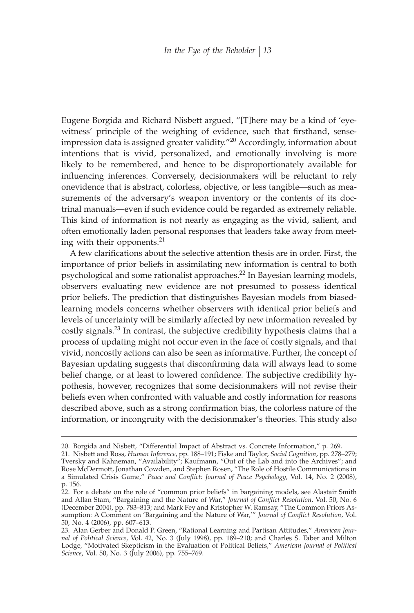Eugene Borgida and Richard Nisbett argued, "[T]here may be a kind of 'eyewitness' principle of the weighing of evidence, such that firsthand, senseimpression data is assigned greater validity."<sup>20</sup> Accordingly, information about intentions that is vivid, personalized, and emotionally involving is more likely to be remembered, and hence to be disproportionately available for influencing inferences. Conversely, decisionmakers will be reluctant to rely onevidence that is abstract, colorless, objective, or less tangible—such as measurements of the adversary's weapon inventory or the contents of its doctrinal manuals—even if such evidence could be regarded as extremely reliable. This kind of information is not nearly as engaging as the vivid, salient, and often emotionally laden personal responses that leaders take away from meeting with their opponents. $^{21}$ 

A few clarifications about the selective attention thesis are in order. First, the importance of prior beliefs in assimilating new information is central to both psychological and some rationalist approaches.<sup>22</sup> In Bayesian learning models, observers evaluating new evidence are not presumed to possess identical prior beliefs. The prediction that distinguishes Bayesian models from biasedlearning models concerns whether observers with identical prior beliefs and levels of uncertainty will be similarly affected by new information revealed by costly signals.<sup>23</sup> In contrast, the subjective credibility hypothesis claims that a process of updating might not occur even in the face of costly signals, and that vivid, noncostly actions can also be seen as informative. Further, the concept of Bayesian updating suggests that disconfirming data will always lead to some belief change, or at least to lowered confidence. The subjective credibility hypothesis, however, recognizes that some decisionmakers will not revise their beliefs even when confronted with valuable and costly information for reasons described above, such as a strong confirmation bias, the colorless nature of the information, or incongruity with the decisionmaker's theories. This study also

<sup>20.</sup> Borgida and Nisbett, "Differential Impact of Abstract vs. Concrete Information," p. 269.

<sup>21.</sup> Nisbett and Ross, *Human Inference*, pp. 188–191; Fiske and Taylor, *Social Cognition*, pp. 278–279; Tversky and Kahneman, "Availability"; Kaufmann, "Out of the Lab and into the Archives"; and Rose McDermott, Jonathan Cowden, and Stephen Rosen, "The Role of Hostile Communications in a Simulated Crisis Game," *Peace and Conflict: Journal of Peace Psychology,* Vol. 14, No. 2 (2008), p. 156.

<sup>22.</sup> For a debate on the role of "common prior beliefs" in bargaining models, see Alastair Smith and Allan Stam, "Bargaining and the Nature of War," *Journal of Conflict Resolution*, Vol. 50, No. 6 (December 2004), pp. 783–813; and Mark Fey and Kristopher W. Ramsay, "The Common Priors Assumption: A Comment on 'Bargaining and the Nature of War,'" Journal of Conflict Resolution, Vol. 50, No. 4 (2006), pp. 607–613.

<sup>23.</sup> Alan Gerber and Donald P. Green, "Rational Learning and Partisan Attitudes," *American Journal of Political Science*, Vol. 42, No. 3 (July 1998), pp. 189–210; and Charles S. Taber and Milton Lodge, "Motivated Skepticism in the Evaluation of Political Beliefs," *American Journal of Political Science*, Vol. 50, No. 3 (July 2006), pp. 755–769.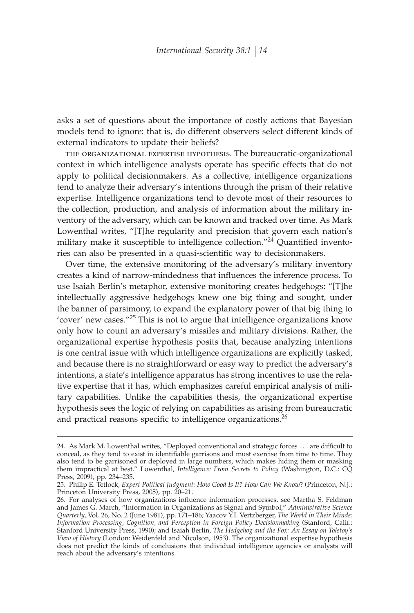asks a set of questions about the importance of costly actions that Bayesian models tend to ignore: that is, do different observers select different kinds of external indicators to update their beliefs?

the organizational expertise hypothesis. The bureaucratic-organizational context in which intelligence analysts operate has specific effects that do not apply to political decisionmakers. As a collective, intelligence organizations tend to analyze their adversary's intentions through the prism of their relative expertise. Intelligence organizations tend to devote most of their resources to the collection, production, and analysis of information about the military inventory of the adversary, which can be known and tracked over time. As Mark Lowenthal writes, "[T]he regularity and precision that govern each nation's military make it susceptible to intelligence collection."<sup>24</sup> Quantified inventories can also be presented in a quasi-scientific way to decisionmakers.

Over time, the extensive monitoring of the adversary's military inventory creates a kind of narrow-mindedness that influences the inference process. To use Isaiah Berlin's metaphor, extensive monitoring creates hedgehogs: "[T]he intellectually aggressive hedgehogs knew one big thing and sought, under the banner of parsimony, to expand the explanatory power of that big thing to 'cover' new cases."<sup>25</sup> This is not to argue that intelligence organizations know only how to count an adversary's missiles and military divisions. Rather, the organizational expertise hypothesis posits that, because analyzing intentions is one central issue with which intelligence organizations are explicitly tasked, and because there is no straightforward or easy way to predict the adversary's intentions, a state's intelligence apparatus has strong incentives to use the relative expertise that it has, which emphasizes careful empirical analysis of military capabilities. Unlike the capabilities thesis, the organizational expertise hypothesis sees the logic of relying on capabilities as arising from bureaucratic and practical reasons specific to intelligence organizations. $^{26}$ 

<sup>24.</sup> As Mark M. Lowenthal writes, "Deployed conventional and strategic forces . . . are difficult to conceal, as they tend to exist in identifiable garrisons and must exercise from time to time. They also tend to be garrisoned or deployed in large numbers, which makes hiding them or masking them impractical at best." Lowenthal, *Intelligence: From Secrets to Policy* (Washington, D.C.: CQ Press, 2009), pp. 234–235.

<sup>25.</sup> Philip E. Tetlock, *Expert Political Judgment: How Good Is It? How Can We Know*? (Princeton, N.J.: Princeton University Press, 2005), pp. 20–21.

<sup>26.</sup> For analyses of how organizations influence information processes, see Martha S. Feldman and James G. March, "Information in Organizations as Signal and Symbol," *Administrative Science Quarterly*, Vol. 26, No. 2 (June 1981), pp. 171–186; Yaacov Y.I. Vertzberger, *The World in Their Minds: Information Processing, Cognition, and Perception in Foreign Policy Decisionmaking* (Stanford, Calif.: Stanford University Press, 1990); and Isaiah Berlin, *The Hedgehog and the Fox: An Essay on Tolstoy's View of History* (London: Weidenfeld and Nicolson, 1953). The organizational expertise hypothesis does not predict the kinds of conclusions that individual intelligence agencies or analysts will reach about the adversary's intentions.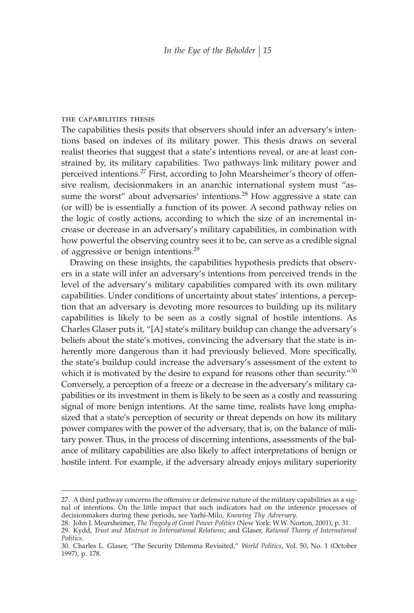#### the capabilities thesis

The capabilities thesis posits that observers should infer an adversary's intentions based on indexes of its military power. This thesis draws on several realist theories that suggest that a state's intentions reveal, or are at least constrained by, its military capabilities. Two pathways link military power and perceived intentions.<sup>27</sup> First, according to John Mearsheimer's theory of offensive realism, decisionmakers in an anarchic international system must "assume the worst" about adversaries' intentions.<sup>28</sup> How aggressive a state can (or will) be is essentially a function of its power. A second pathway relies on the logic of costly actions, according to which the size of an incremental increase or decrease in an adversary's military capabilities, in combination with how powerful the observing country sees it to be, can serve as a credible signal of aggressive or benign intentions.<sup>29</sup>

Drawing on these insights, the capabilities hypothesis predicts that observers in a state will infer an adversary's intentions from perceived trends in the level of the adversary's military capabilities compared with its own military capabilities. Under conditions of uncertainty about states' intentions, a perception that an adversary is devoting more resources to building up its military capabilities is likely to be seen as a costly signal of hostile intentions. As Charles Glaser puts it, "[A] state's military buildup can change the adversary's beliefs about the state's motives, convincing the adversary that the state is inherently more dangerous than it had previously believed. More specifically, the state's buildup could increase the adversary's assessment of the extent to which it is motivated by the desire to expand for reasons other than security." $30$ Conversely, a perception of a freeze or a decrease in the adversary's military capabilities or its investment in them is likely to be seen as a costly and reassuring signal of more benign intentions. At the same time, realists have long emphasized that a state's perception of security or threat depends on how its military power compares with the power of the adversary, that is, on the balance of military power. Thus, in the process of discerning intentions, assessments of the balance of military capabilities are also likely to affect interpretations of benign or hostile intent. For example, if the adversary already enjoys military superiority

<sup>27.</sup> A third pathway concerns the offensive or defensive nature of the military capabilities as a signal of intentions. On the little impact that such indicators had on the inference processes of decisionmakers during these periods, see Yarhi-Milo, *Knowing Thy Adversary*.

<sup>28.</sup> John J. Mearsheimer, *The Tragedy of Great Power Politics* (New York: W.W. Norton, 2001), p. 31. 29. Kydd, *Trust and Mistrust in International Relations*; and Glaser, *Rational Theory of International Politics*.

<sup>30.</sup> Charles L. Glaser, "The Security Dilemma Revisited," *World Politics*, Vol. 50, No. 1 (October 1997), p. 178.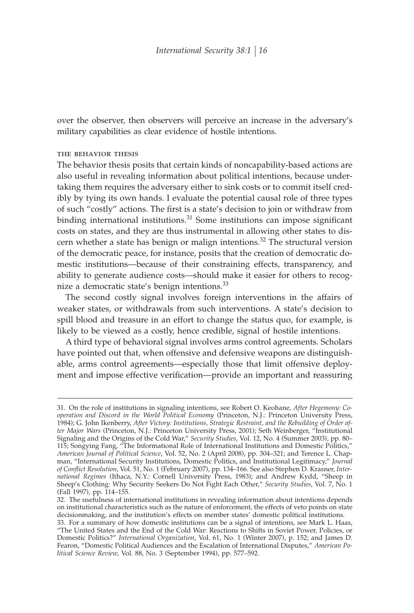over the observer, then observers will perceive an increase in the adversary's military capabilities as clear evidence of hostile intentions.

## the behavior thesis

The behavior thesis posits that certain kinds of noncapability-based actions are also useful in revealing information about political intentions, because undertaking them requires the adversary either to sink costs or to commit itself credibly by tying its own hands. I evaluate the potential causal role of three types of such "costly" actions. The first is a state's decision to join or withdraw from binding international institutions. $31$  Some institutions can impose significant costs on states, and they are thus instrumental in allowing other states to discern whether a state has benign or malign intentions.<sup>32</sup> The structural version of the democratic peace, for instance, posits that the creation of democratic domestic institutions—because of their constraining effects, transparency, and ability to generate audience costs—should make it easier for others to recognize a democratic state's benign intentions.<sup>33</sup>

The second costly signal involves foreign interventions in the affairs of weaker states, or withdrawals from such interventions. A state's decision to spill blood and treasure in an effort to change the status quo, for example, is likely to be viewed as a costly, hence credible, signal of hostile intentions.

A third type of behavioral signal involves arms control agreements. Scholars have pointed out that, when offensive and defensive weapons are distinguishable, arms control agreements—especially those that limit offensive deployment and impose effective verification—provide an important and reassuring

<sup>31.</sup> On the role of institutions in signaling intentions, see Robert O. Keohane, *After Hegemony: Cooperation and Discord in the World Political Economy* (Princeton, N.J.: Princeton University Press, 1984); G. John Ikenberry, *After Victory: Institutions, Strategic Restraint, and the Rebuilding of Order after Major Wars* (Princeton, N.J.: Princeton University Press, 2001); Seth Weinberger, "Institutional Signaling and the Origins of the Cold War," *Security Studies*, Vol. 12, No. 4 (Summer 2003), pp. 80– 115; Songying Fang, "The Informational Role of International Institutions and Domestic Politics," *American Journal of Political Science*, Vol. 52, No. 2 (April 2008), pp. 304–321; and Terence L. Chapman, "International Security Institutions, Domestic Politics, and Institutional Legitimacy," *Journal* of Conflict Resolution, Vol. 51, No. 1 (February 2007), pp. 134-166. See also Stephen D. Krasner, *International Regimes* (Ithaca, N.Y.: Cornell University Press, 1983); and Andrew Kydd, "Sheep in Sheep's Clothing: Why Security Seekers Do Not Fight Each Other," *Security Studies*, Vol. 7, No. 1 (Fall 1997), pp. 114–155.

<sup>32.</sup> The usefulness of international institutions in revealing information about intentions depends on institutional characteristics such as the nature of enforcement, the effects of veto points on state decisionmaking, and the institution's effects on member states' domestic political institutions.

<sup>33.</sup> For a summary of how domestic institutions can be a signal of intentions, see Mark L. Haas, "The United States and the End of the Cold War: Reactions to Shifts in Soviet Power, Policies, or Domestic Politics?" *International Organization*, Vol. 61, No. 1 (Winter 2007), p. 152; and James D. Fearon, "Domestic Political Audiences and the Escalation of International Disputes," *American Political Science Review*, Vol. 88, No. 3 (September 1994), pp. 577–592.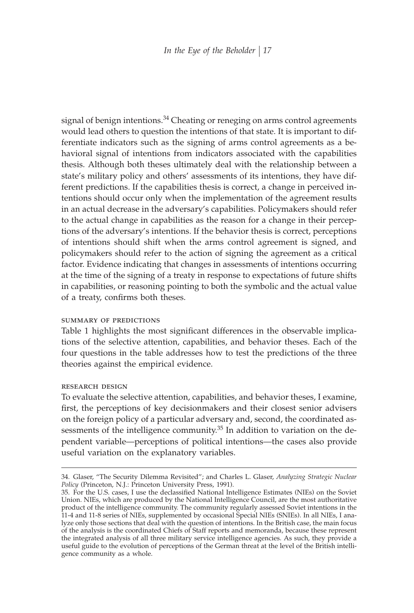signal of benign intentions. $34$  Cheating or reneging on arms control agreements would lead others to question the intentions of that state. It is important to differentiate indicators such as the signing of arms control agreements as a behavioral signal of intentions from indicators associated with the capabilities thesis. Although both theses ultimately deal with the relationship between a state's military policy and others' assessments of its intentions, they have different predictions. If the capabilities thesis is correct, a change in perceived intentions should occur only when the implementation of the agreement results in an actual decrease in the adversary's capabilities. Policymakers should refer to the actual change in capabilities as the reason for a change in their perceptions of the adversary's intentions. If the behavior thesis is correct, perceptions of intentions should shift when the arms control agreement is signed, and policymakers should refer to the action of signing the agreement as a critical factor. Evidence indicating that changes in assessments of intentions occurring at the time of the signing of a treaty in response to expectations of future shifts in capabilities, or reasoning pointing to both the symbolic and the actual value of a treaty, confirms both theses.

#### summary of predictions

Table 1 highlights the most significant differences in the observable implications of the selective attention, capabilities, and behavior theses. Each of the four questions in the table addresses how to test the predictions of the three theories against the empirical evidence.

#### research design

To evaluate the selective attention, capabilities, and behavior theses, I examine, first, the perceptions of key decisionmakers and their closest senior advisers on the foreign policy of a particular adversary and, second, the coordinated assessments of the intelligence community.<sup>35</sup> In addition to variation on the dependent variable—perceptions of political intentions—the cases also provide useful variation on the explanatory variables.

<sup>34.</sup> Glaser, "The Security Dilemma Revisited"; and Charles L. Glaser, *Analyzing Strategic Nuclear Policy* (Princeton, N.J.: Princeton University Press, 1991).

<sup>35.</sup> For the U.S. cases, I use the declassified National Intelligence Estimates (NIEs) on the Soviet Union. NIEs, which are produced by the National Intelligence Council, are the most authoritative product of the intelligence community. The community regularly assessed Soviet intentions in the 11-4 and 11-8 series of NIEs, supplemented by occasional Special NIEs (SNIEs). In all NIEs, I analyze only those sections that deal with the question of intentions. In the British case, the main focus of the analysis is the coordinated Chiefs of Staff reports and memoranda, because these represent the integrated analysis of all three military service intelligence agencies. As such, they provide a useful guide to the evolution of perceptions of the German threat at the level of the British intelligence community as a whole.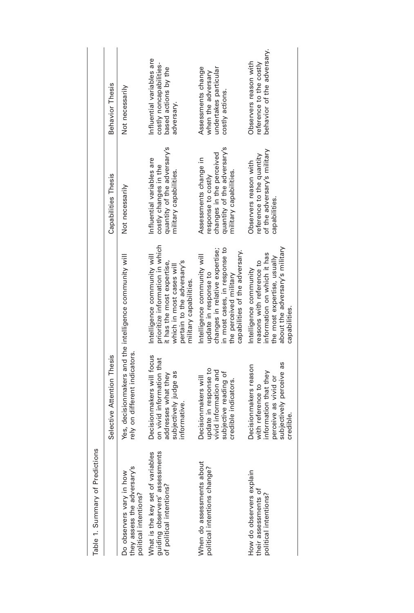| Table 1. Summary of Predictions                                                                |                                                                                                                                      |                                                                                                                                                                                     |                                                                                                                                  |                                                                                            |
|------------------------------------------------------------------------------------------------|--------------------------------------------------------------------------------------------------------------------------------------|-------------------------------------------------------------------------------------------------------------------------------------------------------------------------------------|----------------------------------------------------------------------------------------------------------------------------------|--------------------------------------------------------------------------------------------|
|                                                                                                | lective Attention Thesis<br>မိ                                                                                                       |                                                                                                                                                                                     | Capabilities Thesis                                                                                                              | <b>Behavior Thesis</b>                                                                     |
| they assess the adversary's<br>Do observers vary in how<br>political intentions?               | rely on different indicators.                                                                                                        | Yes, decisionmakers and the intelligence community will                                                                                                                             | Not necessarily                                                                                                                  | Not necessarily                                                                            |
| guiding observers' assessments<br>What is the key set of variables<br>of political intentions? | Decisionmakers will focus<br>on vivid information that<br>addresses what they<br>subjectively judge as<br>informative.               | orioritize information in which<br>Intelligence community will<br>pertain to the adversary's<br>t has the most expertise,<br>which in most cases will<br>military capabilities.     | quantity of the adversary's<br>Influential variables are<br>costly changes in the<br>military capabilities.                      | Influential variables are<br>costly noncapabilities-<br>based actions by the<br>adversary. |
| When do assessments about<br>political intentions change?                                      | update in response to<br>vivid information and<br>subjective reading of<br>Decisionmakers will<br>credible indicators.               | in most cases, in response to<br>changes in relative expertise;<br>capabilities of the adversary.<br>Intelligence community will<br>update in response to<br>the perceived military | quantity of the adversary's<br>changes in the perceived<br>Assessments change in<br>military capabilities.<br>response to costly | Assessments change<br>undertakes particular<br>when the adversary<br>costly actions.       |
| How do observers explain<br>their assessments of<br>political intentions?                      | perceive as vivid or<br>subjectively perceive as<br>Decisionmakers reason<br>with reference to<br>information that they<br>credible. | about the adversary's military<br>information on which it has<br>the most expertise, usually<br>easons with reference to<br>Intelligence community<br>capabilities.                 | of the adversary's military<br>reference to the quantity<br>Observers reason with<br>capabilities.                               | behavior of the adversary.<br>Observers reason with<br>reference to the costly             |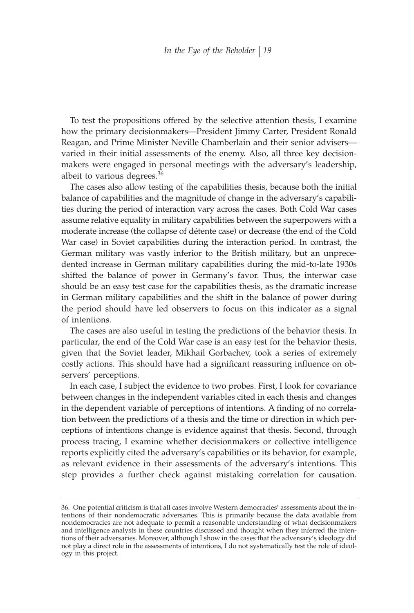To test the propositions offered by the selective attention thesis, I examine how the primary decisionmakers—President Jimmy Carter, President Ronald Reagan, and Prime Minister Neville Chamberlain and their senior advisers varied in their initial assessments of the enemy. Also, all three key decisionmakers were engaged in personal meetings with the adversary's leadership, albeit to various degrees.<sup>36</sup>

The cases also allow testing of the capabilities thesis, because both the initial balance of capabilities and the magnitude of change in the adversary's capabilities during the period of interaction vary across the cases. Both Cold War cases assume relative equality in military capabilities between the superpowers with a moderate increase (the collapse of détente case) or decrease (the end of the Cold War case) in Soviet capabilities during the interaction period. In contrast, the German military was vastly inferior to the British military, but an unprecedented increase in German military capabilities during the mid-to-late 1930s shifted the balance of power in Germany's favor. Thus, the interwar case should be an easy test case for the capabilities thesis, as the dramatic increase in German military capabilities and the shift in the balance of power during the period should have led observers to focus on this indicator as a signal of intentions.

The cases are also useful in testing the predictions of the behavior thesis. In particular, the end of the Cold War case is an easy test for the behavior thesis, given that the Soviet leader, Mikhail Gorbachev, took a series of extremely costly actions. This should have had a significant reassuring influence on observers' perceptions.

In each case, I subject the evidence to two probes. First, I look for covariance between changes in the independent variables cited in each thesis and changes in the dependent variable of perceptions of intentions. A finding of no correlation between the predictions of a thesis and the time or direction in which perceptions of intentions change is evidence against that thesis. Second, through process tracing, I examine whether decisionmakers or collective intelligence reports explicitly cited the adversary's capabilities or its behavior, for example, as relevant evidence in their assessments of the adversary's intentions. This step provides a further check against mistaking correlation for causation.

<sup>36.</sup> One potential criticism is that all cases involve Western democracies' assessments about the intentions of their nondemocratic adversaries. This is primarily because the data available from nondemocracies are not adequate to permit a reasonable understanding of what decisionmakers and intelligence analysts in these countries discussed and thought when they inferred the intentions of their adversaries. Moreover, although I show in the cases that the adversary's ideology did not play a direct role in the assessments of intentions, I do not systematically test the role of ideology in this project.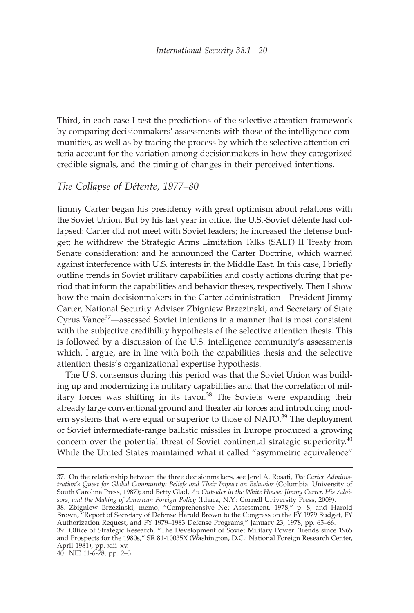Third, in each case I test the predictions of the selective attention framework by comparing decisionmakers' assessments with those of the intelligence communities, as well as by tracing the process by which the selective attention criteria account for the variation among decisionmakers in how they categorized credible signals, and the timing of changes in their perceived intentions.

# *The Collapse of Détente, 1977–80*

Jimmy Carter began his presidency with great optimism about relations with the Soviet Union. But by his last year in office, the U.S.-Soviet détente had collapsed: Carter did not meet with Soviet leaders; he increased the defense budget; he withdrew the Strategic Arms Limitation Talks (SALT) II Treaty from Senate consideration; and he announced the Carter Doctrine, which warned against interference with U.S. interests in the Middle East. In this case, I briefly outline trends in Soviet military capabilities and costly actions during that period that inform the capabilities and behavior theses, respectively. Then I show how the main decisionmakers in the Carter administration—President Jimmy Carter, National Security Adviser Zbigniew Brzezinski, and Secretary of State Cyrus Vance<sup>37</sup>—assessed Soviet intentions in a manner that is most consistent with the subjective credibility hypothesis of the selective attention thesis. This is followed by a discussion of the U.S. intelligence community's assessments which, I argue, are in line with both the capabilities thesis and the selective attention thesis's organizational expertise hypothesis.

The U.S. consensus during this period was that the Soviet Union was building up and modernizing its military capabilities and that the correlation of military forces was shifting in its favor.<sup>38</sup> The Soviets were expanding their already large conventional ground and theater air forces and introducing modern systems that were equal or superior to those of NATO.<sup>39</sup> The deployment of Soviet intermediate-range ballistic missiles in Europe produced a growing concern over the potential threat of Soviet continental strategic superiority.<sup>40</sup> While the United States maintained what it called "asymmetric equivalence"

38. Zbigniew Brzezinski, memo, "Comprehensive Net Assessment, 1978," p. 8; and Harold Brown, "Report of Secretary of Defense Harold Brown to the Congress on the FY 1979 Budget, FY Authorization Request, and FY 1979–1983 Defense Programs," January 23, 1978, pp. 65–66.

39. Office of Strategic Research, "The Development of Soviet Military Power: Trends since 1965 and Prospects for the 1980s," SR 81-10035X (Washington, D.C.: National Foreign Research Center, April 1981), pp. xiii–xv.

40. NIE 11-6-78, pp. 2–3.

<sup>37.</sup> On the relationship between the three decisionmakers, see Jerel A. Rosati, *The Carter Administration's Quest for Global Community: Beliefs and Their Impact on Behavior* (Columbia: University of South Carolina Press, 1987); and Betty Glad, *An Outsider in the White House: Jimmy Carter, His Advisors, and the Making of American Foreign Policy* (Ithaca, N.Y.: Cornell University Press, 2009).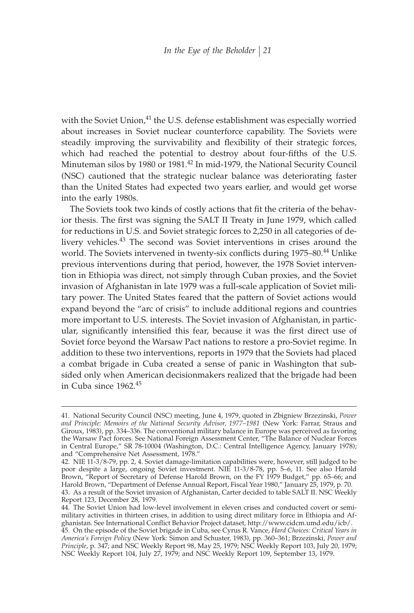with the Soviet Union,<sup>41</sup> the U.S. defense establishment was especially worried about increases in Soviet nuclear counterforce capability. The Soviets were steadily improving the survivability and flexibility of their strategic forces, which had reached the potential to destroy about four-fifths of the U.S. Minuteman silos by 1980 or 1981.<sup>42</sup> In mid-1979, the National Security Council (NSC) cautioned that the strategic nuclear balance was deteriorating faster than the United States had expected two years earlier, and would get worse into the early 1980s.

The Soviets took two kinds of costly actions that fit the criteria of the behavior thesis. The first was signing the SALT II Treaty in June 1979, which called for reductions in U.S. and Soviet strategic forces to 2,250 in all categories of delivery vehicles.<sup>43</sup> The second was Soviet interventions in crises around the world. The Soviets intervened in twenty-six conflicts during 1975–80.<sup>44</sup> Unlike previous interventions during that period, however, the 1978 Soviet intervention in Ethiopia was direct, not simply through Cuban proxies, and the Soviet invasion of Afghanistan in late 1979 was a full-scale application of Soviet military power. The United States feared that the pattern of Soviet actions would expand beyond the "arc of crisis" to include additional regions and countries more important to U.S. interests. The Soviet invasion of Afghanistan, in particular, significantly intensified this fear, because it was the first direct use of Soviet force beyond the Warsaw Pact nations to restore a pro-Soviet regime. In addition to these two interventions, reports in 1979 that the Soviets had placed a combat brigade in Cuba created a sense of panic in Washington that subsided only when American decisionmakers realized that the brigade had been in Cuba since 1962.<sup>45</sup>

<sup>41.</sup> National Security Council (NSC) meeting, June 4, 1979, quoted in Zbigniew Brzezinski, *Power and Principle: Memoirs of the National Security Advisor, 1977–1981* (New York: Farrar, Straus and Giroux, 1983), pp. 334–336. The conventional military balance in Europe was perceived as favoring the Warsaw Pact forces. See National Foreign Assessment Center, "The Balance of Nuclear Forces in Central Europe," SR 78-10004 (Washington, D.C.: Central Intelligence Agency, January 1978); and "Comprehensive Net Assessment, 1978."

<sup>42.</sup> NIE 11-3/8-79, pp. 2, 4. Soviet damage-limitation capabilities were, however, still judged to be poor despite a large, ongoing Soviet investment. NIE 11-3/8-78, pp. 5–6, 11. See also Harold Brown, "Report of Secretary of Defense Harold Brown, on the FY 1979 Budget," pp. 65–66; and Harold Brown, "Department of Defense Annual Report, Fiscal Year 1980," January 25, 1979, p. 70. 43. As a result of the Soviet invasion of Afghanistan, Carter decided to table SALT II. NSC Weekly Report 123, December 28, 1979.

<sup>44.</sup> The Soviet Union had low-level involvement in eleven crises and conducted covert or semimilitary activities in thirteen crises, in addition to using direct military force in Ethiopia and Afghanistan. See International Conflict Behavior Project dataset, http://www.cidcm.umd.edu/icb/. 45. On the episode of the Soviet brigade in Cuba, see Cyrus R. Vance, *Hard Choices: Critical Years in America's Foreign Policy* (New York: Simon and Schuster, 1983), pp. 360–361; Brzezinski, *Power and Principle*, p. 347; and NSC Weekly Report 98, May 25, 1979; NSC Weekly Report 103, July 20, 1979; NSC Weekly Report 104, July 27, 1979; and NSC Weekly Report 109, September 13, 1979.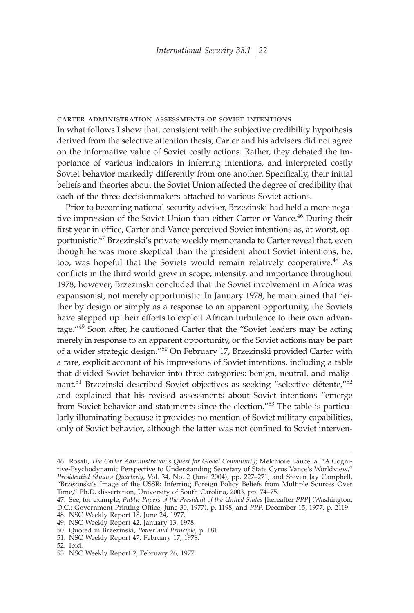## carter administration assessments of soviet intentions

In what follows I show that, consistent with the subjective credibility hypothesis derived from the selective attention thesis, Carter and his advisers did not agree on the informative value of Soviet costly actions. Rather, they debated the importance of various indicators in inferring intentions, and interpreted costly Soviet behavior markedly differently from one another. Specifically, their initial beliefs and theories about the Soviet Union affected the degree of credibility that each of the three decisionmakers attached to various Soviet actions.

Prior to becoming national security adviser, Brzezinski had held a more negative impression of the Soviet Union than either Carter or Vance.<sup>46</sup> During their first year in office, Carter and Vance perceived Soviet intentions as, at worst, opportunistic.<sup>47</sup> Brzezinski's private weekly memoranda to Carter reveal that, even though he was more skeptical than the president about Soviet intentions, he, too, was hopeful that the Soviets would remain relatively cooperative.<sup>48</sup> As conflicts in the third world grew in scope, intensity, and importance throughout 1978, however, Brzezinski concluded that the Soviet involvement in Africa was expansionist, not merely opportunistic. In January 1978, he maintained that "either by design or simply as a response to an apparent opportunity, the Soviets have stepped up their efforts to exploit African turbulence to their own advantage."<sup>49</sup> Soon after, he cautioned Carter that the "Soviet leaders may be acting merely in response to an apparent opportunity, or the Soviet actions may be part of a wider strategic design."50 On February 17, Brzezinski provided Carter with a rare, explicit account of his impressions of Soviet intentions, including a table that divided Soviet behavior into three categories: benign, neutral, and malignant.<sup>51</sup> Brzezinski described Soviet objectives as seeking "selective détente,"<sup>52</sup> and explained that his revised assessments about Soviet intentions "emerge from Soviet behavior and statements since the election."<sup>53</sup> The table is particularly illuminating because it provides no mention of Soviet military capabilities, only of Soviet behavior, although the latter was not confined to Soviet interven-

<sup>46.</sup> Rosati, *The Carter Administration's Quest for Global Community*; Melchiore Laucella, "A Cognitive-Psychodynamic Perspective to Understanding Secretary of State Cyrus Vance's Worldview," *Presidential Studies Quarterly*, Vol. 34, No. 2 (June 2004), pp. 227–271; and Steven Jay Campbell, "Brzezinski's Image of the USSR: Inferring Foreign Policy Beliefs from Multiple Sources Over Time," Ph.D. dissertation, University of South Carolina, 2003, pp. 74–75.

<sup>47.</sup> See, for example, *Public Papers of the President of the United States* [hereafter *PPP*] (Washington, D.C.: Government Printing Office, June 30, 1977), p. 1198; and *PPP*, December 15, 1977, p. 2119.

<sup>48.</sup> NSC Weekly Report 18, June 24, 1977.

<sup>49.</sup> NSC Weekly Report 42, January 13, 1978.

<sup>50.</sup> Quoted in Brzezinski, *Power and Principle*, p. 181.

<sup>51.</sup> NSC Weekly Report 47, February 17, 1978.

<sup>52.</sup> Ibid.

<sup>53.</sup> NSC Weekly Report 2, February 26, 1977.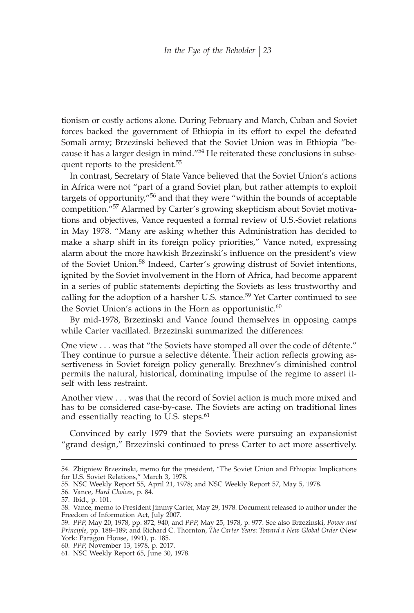tionism or costly actions alone. During February and March, Cuban and Soviet forces backed the government of Ethiopia in its effort to expel the defeated Somali army; Brzezinski believed that the Soviet Union was in Ethiopia "because it has a larger design in mind." $54$  He reiterated these conclusions in subsequent reports to the president.<sup>55</sup>

In contrast, Secretary of State Vance believed that the Soviet Union's actions in Africa were not "part of a grand Soviet plan, but rather attempts to exploit targets of opportunity,"<sup>56</sup> and that they were "within the bounds of acceptable competition."<sup>57</sup> Alarmed by Carter's growing skepticism about Soviet motivations and objectives, Vance requested a formal review of U.S.-Soviet relations in May 1978. "Many are asking whether this Administration has decided to make a sharp shift in its foreign policy priorities," Vance noted, expressing alarm about the more hawkish Brzezinski's influence on the president's view of the Soviet Union.<sup>58</sup> Indeed, Carter's growing distrust of Soviet intentions, ignited by the Soviet involvement in the Horn of Africa, had become apparent in a series of public statements depicting the Soviets as less trustworthy and calling for the adoption of a harsher U.S. stance.<sup>59</sup> Yet Carter continued to see the Soviet Union's actions in the Horn as opportunistic. $60$ 

By mid-1978, Brzezinski and Vance found themselves in opposing camps while Carter vacillated. Brzezinski summarized the differences:

One view . . . was that "the Soviets have stomped all over the code of détente." They continue to pursue a selective détente. Their action reflects growing assertiveness in Soviet foreign policy generally. Brezhnev's diminished control permits the natural, historical, dominating impulse of the regime to assert itself with less restraint.

Another view . . . was that the record of Soviet action is much more mixed and has to be considered case-by-case. The Soviets are acting on traditional lines and essentially reacting to  $\dot{\text{U}}$ . S. steps.<sup>61</sup>

Convinced by early 1979 that the Soviets were pursuing an expansionist "grand design," Brzezinski continued to press Carter to act more assertively.

<sup>54.</sup> Zbigniew Brzezinski, memo for the president, "The Soviet Union and Ethiopia: Implications for U.S. Soviet Relations," March 3, 1978.

<sup>55.</sup> NSC Weekly Report 55, April 21, 1978; and NSC Weekly Report 57, May 5, 1978.

<sup>56.</sup> Vance, *Hard Choices*, p. 84.

<sup>57.</sup> Ibid., p. 101.

<sup>58.</sup> Vance, memo to President Jimmy Carter, May 29, 1978. Document released to author under the Freedom of Information Act, July 2007.

<sup>59.</sup> *PPP*, May 20, 1978, pp. 872, 940; and *PPP*, May 25, 1978, p. 977. See also Brzezinski, *Power and Principle*, pp. 188–189; and Richard C. Thornton, *The Carter Years: Toward a New Global Order* (New York: Paragon House, 1991), p. 185.

<sup>60.</sup> *PPP*, November 13, 1978, p. 2017.

<sup>61.</sup> NSC Weekly Report 65, June 30, 1978.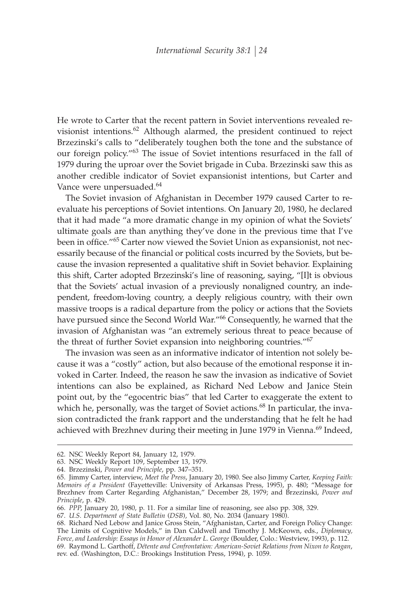He wrote to Carter that the recent pattern in Soviet interventions revealed revisionist intentions.<sup>62</sup> Although alarmed, the president continued to reject Brzezinski's calls to "deliberately toughen both the tone and the substance of our foreign policy."<sup>63</sup> The issue of Soviet intentions resurfaced in the fall of 1979 during the uproar over the Soviet brigade in Cuba. Brzezinski saw this as another credible indicator of Soviet expansionist intentions, but Carter and Vance were unpersuaded.<sup>64</sup>

The Soviet invasion of Afghanistan in December 1979 caused Carter to reevaluate his perceptions of Soviet intentions. On January 20, 1980, he declared that it had made "a more dramatic change in my opinion of what the Soviets' ultimate goals are than anything they've done in the previous time that I've been in office."<sup>65</sup> Carter now viewed the Soviet Union as expansionist, not necessarily because of the financial or political costs incurred by the Soviets, but because the invasion represented a qualitative shift in Soviet behavior. Explaining this shift, Carter adopted Brzezinski's line of reasoning, saying, "[I]t is obvious that the Soviets' actual invasion of a previously nonaligned country, an independent, freedom-loving country, a deeply religious country, with their own massive troops is a radical departure from the policy or actions that the Soviets have pursued since the Second World War."<sup>66</sup> Consequently, he warned that the invasion of Afghanistan was "an extremely serious threat to peace because of the threat of further Soviet expansion into neighboring countries."67

The invasion was seen as an informative indicator of intention not solely because it was a "costly" action, but also because of the emotional response it invoked in Carter. Indeed, the reason he saw the invasion as indicative of Soviet intentions can also be explained, as Richard Ned Lebow and Janice Stein point out, by the "egocentric bias" that led Carter to exaggerate the extent to which he, personally, was the target of Soviet actions.<sup>68</sup> In particular, the invasion contradicted the frank rapport and the understanding that he felt he had achieved with Brezhnev during their meeting in June 1979 in Vienna.<sup>69</sup> Indeed,

<sup>62.</sup> NSC Weekly Report 84, January 12, 1979.

<sup>63.</sup> NSC Weekly Report 109, September 13, 1979.

<sup>64.</sup> Brzezinski, *Power and Principle*, pp. 347–351.

<sup>65.</sup> Jimmy Carter, interview, *Meet the Press*, January 20, 1980. See also Jimmy Carter, *Keeping Faith: Memoirs of a President* (Fayetteville: University of Arkansas Press, 1995), p. 480; "Message for Brezhnev from Carter Regarding Afghanistan," December 28, 1979; and Brzezinski, *Power and Principle*, p. 429.

<sup>66.</sup> *PPP*, January 20, 1980, p. 11. For a similar line of reasoning, see also pp. 308, 329.

<sup>67.</sup> *U.S. Department of State Bulletin* (*DSB*), Vol. 80, No. 2034 (January 1980).

<sup>68.</sup> Richard Ned Lebow and Janice Gross Stein, "Afghanistan, Carter, and Foreign Policy Change: The Limits of Cognitive Models," in Dan Caldwell and Timothy J. McKeown, eds., *Diplomacy, Force, and Leadership: Essays in Honor of Alexander L. George* (Boulder, Colo.: Westview, 1993), p. 112. 69. Raymond L. Garthoff, *Détente and Confrontation: American-Soviet Relations from Nixon to Reagan*, rev. ed. (Washington, D.C.: Brookings Institution Press, 1994), p. 1059.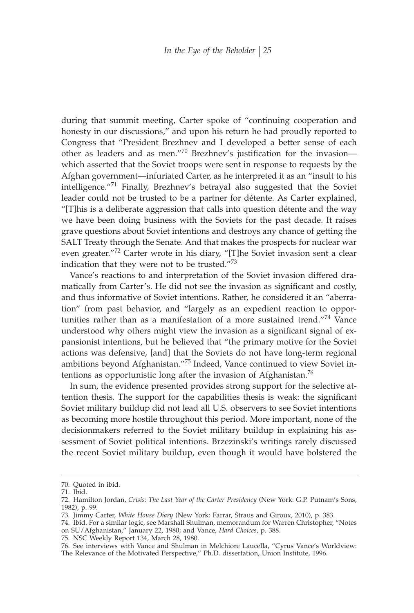during that summit meeting, Carter spoke of "continuing cooperation and honesty in our discussions," and upon his return he had proudly reported to Congress that "President Brezhnev and I developed a better sense of each other as leaders and as men."<sup>70</sup> Brezhnev's justification for the invasionwhich asserted that the Soviet troops were sent in response to requests by the Afghan government—infuriated Carter, as he interpreted it as an "insult to his intelligence."<sup>71</sup> Finally, Brezhnev's betrayal also suggested that the Soviet leader could not be trusted to be a partner for détente. As Carter explained, "[T]his is a deliberate aggression that calls into question détente and the way we have been doing business with the Soviets for the past decade. It raises grave questions about Soviet intentions and destroys any chance of getting the SALT Treaty through the Senate. And that makes the prospects for nuclear war even greater."<sup>72</sup> Carter wrote in his diary, "[T]he Soviet invasion sent a clear indication that they were not to be trusted."<sup>73</sup>

Vance's reactions to and interpretation of the Soviet invasion differed dramatically from Carter's. He did not see the invasion as significant and costly, and thus informative of Soviet intentions. Rather, he considered it an "aberration" from past behavior, and "largely as an expedient reaction to opportunities rather than as a manifestation of a more sustained trend."<sup>74</sup> Vance understood why others might view the invasion as a significant signal of expansionist intentions, but he believed that "the primary motive for the Soviet actions was defensive, [and] that the Soviets do not have long-term regional ambitions beyond Afghanistan."<sup>75</sup> Indeed, Vance continued to view Soviet intentions as opportunistic long after the invasion of Afghanistan.<sup>76</sup>

In sum, the evidence presented provides strong support for the selective attention thesis. The support for the capabilities thesis is weak: the significant Soviet military buildup did not lead all U.S. observers to see Soviet intentions as becoming more hostile throughout this period. More important, none of the decisionmakers referred to the Soviet military buildup in explaining his assessment of Soviet political intentions. Brzezinski's writings rarely discussed the recent Soviet military buildup, even though it would have bolstered the

71. Ibid.

<sup>70.</sup> Quoted in ibid.

<sup>72.</sup> Hamilton Jordan, *Crisis: The Last Year of the Carter Presidency* (New York: G.P. Putnam's Sons, 1982), p. 99.

<sup>73.</sup> Jimmy Carter, *White House Diary* (New York: Farrar, Straus and Giroux, 2010), p. 383.

<sup>74.</sup> Ibid. For a similar logic, see Marshall Shulman, memorandum for Warren Christopher, "Notes on SU/Afghanistan," January 22, 1980; and Vance, *Hard Choices*, p. 388.

<sup>75.</sup> NSC Weekly Report 134, March 28, 1980.

<sup>76.</sup> See interviews with Vance and Shulman in Melchiore Laucella, "Cyrus Vance's Worldview: The Relevance of the Motivated Perspective," Ph.D. dissertation, Union Institute, 1996.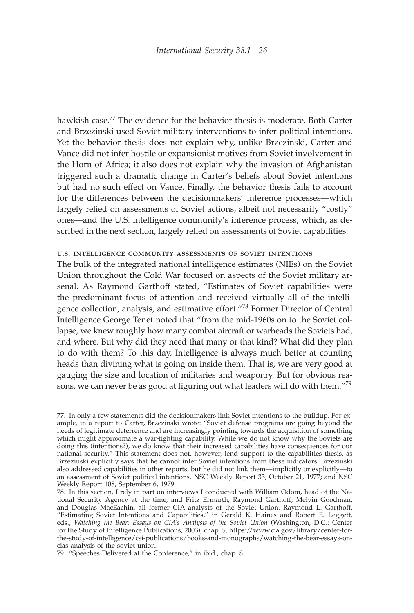hawkish case.<sup>77</sup> The evidence for the behavior thesis is moderate. Both Carter and Brzezinski used Soviet military interventions to infer political intentions. Yet the behavior thesis does not explain why, unlike Brzezinski, Carter and Vance did not infer hostile or expansionist motives from Soviet involvement in the Horn of Africa; it also does not explain why the invasion of Afghanistan triggered such a dramatic change in Carter's beliefs about Soviet intentions but had no such effect on Vance. Finally, the behavior thesis fails to account for the differences between the decisionmakers' inference processes—which largely relied on assessments of Soviet actions, albeit not necessarily "costly" ones—and the U.S. intelligence community's inference process, which, as described in the next section, largely relied on assessments of Soviet capabilities.

## u.s. intelligence community assessments of soviet intentions

The bulk of the integrated national intelligence estimates (NIEs) on the Soviet Union throughout the Cold War focused on aspects of the Soviet military arsenal. As Raymond Garthoff stated, "Estimates of Soviet capabilities were the predominant focus of attention and received virtually all of the intelligence collection, analysis, and estimative effort."<sup>78</sup> Former Director of Central Intelligence George Tenet noted that "from the mid-1960s on to the Soviet collapse, we knew roughly how many combat aircraft or warheads the Soviets had, and where. But why did they need that many or that kind? What did they plan to do with them? To this day, Intelligence is always much better at counting heads than divining what is going on inside them. That is, we are very good at gauging the size and location of militaries and weaponry. But for obvious reasons, we can never be as good at figuring out what leaders will do with them."<sup>79</sup>

<sup>77.</sup> In only a few statements did the decisionmakers link Soviet intentions to the buildup. For example, in a report to Carter, Brzezinski wrote: "Soviet defense programs are going beyond the needs of legitimate deterrence and are increasingly pointing towards the acquisition of something which might approximate a war-fighting capability. While we do not know why the Soviets are doing this (intentions?), we do know that their increased capabilities have consequences for our national security." This statement does not, however, lend support to the capabilities thesis, as Brzezinski explicitly says that he cannot infer Soviet intentions from these indicators. Brzezinski also addressed capabilities in other reports, but he did not link them—implicitly or explicitly—to an assessment of Soviet political intentions. NSC Weekly Report 33, October 21, 1977; and NSC Weekly Report 108, September 6, 1979.

<sup>78.</sup> In this section, I rely in part on interviews I conducted with William Odom, head of the National Security Agency at the time, and Fritz Ermarth, Raymond Garthoff, Melvin Goodman, and Douglas MacEachin, all former CIA analysts of the Soviet Union. Raymond L. Garthoff, "Estimating Soviet Intentions and Capabilities," in Gerald K. Haines and Robert E. Leggett, eds., *Watching the Bear: Essays on CIA's Analysis of the Soviet Union* (Washington, D.C.: Center for the Study of Intelligence Publications, 2003), chap. 5, https://www.cia.gov/library/center-forthe-study-of-intelligence/csi-publications/books-and-monographs/watching-the-bear-essays-oncias-analysis-of-the-soviet-union.

<sup>79. &</sup>quot;Speeches Delivered at the Conference," in ibid., chap. 8.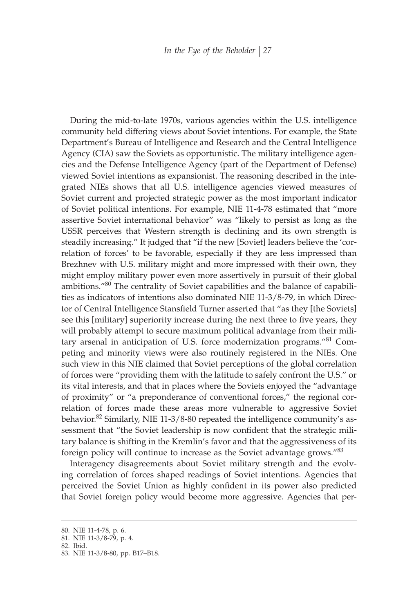During the mid-to-late 1970s, various agencies within the U.S. intelligence community held differing views about Soviet intentions. For example, the State Department's Bureau of Intelligence and Research and the Central Intelligence Agency (CIA) saw the Soviets as opportunistic. The military intelligence agencies and the Defense Intelligence Agency (part of the Department of Defense) viewed Soviet intentions as expansionist. The reasoning described in the integrated NIEs shows that all U.S. intelligence agencies viewed measures of Soviet current and projected strategic power as the most important indicator of Soviet political intentions. For example, NIE 11-4-78 estimated that "more assertive Soviet international behavior" was "likely to persist as long as the USSR perceives that Western strength is declining and its own strength is steadily increasing." It judged that "if the new [Soviet] leaders believe the 'correlation of forces' to be favorable, especially if they are less impressed than Brezhnev with U.S. military might and more impressed with their own, they might employ military power even more assertively in pursuit of their global ambitions."<sup>80</sup> The centrality of Soviet capabilities and the balance of capabilities as indicators of intentions also dominated NIE 11-3/8-79, in which Director of Central Intelligence Stansfield Turner asserted that "as they [the Soviets] see this [military] superiority increase during the next three to five years, they will probably attempt to secure maximum political advantage from their military arsenal in anticipation of U.S. force modernization programs."<sup>81</sup> Competing and minority views were also routinely registered in the NIEs. One such view in this NIE claimed that Soviet perceptions of the global correlation of forces were "providing them with the latitude to safely confront the U.S." or its vital interests, and that in places where the Soviets enjoyed the "advantage of proximity" or "a preponderance of conventional forces," the regional correlation of forces made these areas more vulnerable to aggressive Soviet behavior.<sup>82</sup> Similarly, NIE 11-3/8-80 repeated the intelligence community's assessment that "the Soviet leadership is now confident that the strategic military balance is shifting in the Kremlin's favor and that the aggressiveness of its foreign policy will continue to increase as the Soviet advantage grows."<sup>83</sup>

Interagency disagreements about Soviet military strength and the evolving correlation of forces shaped readings of Soviet intentions. Agencies that perceived the Soviet Union as highly confident in its power also predicted that Soviet foreign policy would become more aggressive. Agencies that per-

<sup>80.</sup> NIE 11-4-78, p. 6.

<sup>81.</sup> NIE 11-3/8-79, p. 4.

<sup>82.</sup> Ibid.

<sup>83.</sup> NIE 11-3/8-80, pp. B17–B18.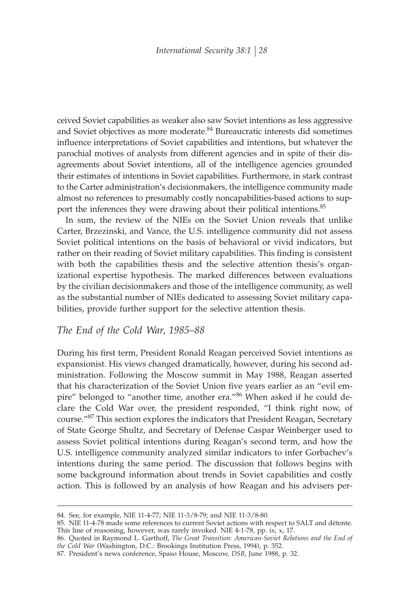ceived Soviet capabilities as weaker also saw Soviet intentions as less aggressive and Soviet objectives as more moderate.<sup>84</sup> Bureaucratic interests did sometimes influence interpretations of Soviet capabilities and intentions, but whatever the parochial motives of analysts from different agencies and in spite of their disagreements about Soviet intentions, all of the intelligence agencies grounded their estimates of intentions in Soviet capabilities. Furthermore, in stark contrast to the Carter administration's decisionmakers, the intelligence community made almost no references to presumably costly noncapabilities-based actions to support the inferences they were drawing about their political intentions.<sup>85</sup>

In sum, the review of the NIEs on the Soviet Union reveals that unlike Carter, Brzezinski, and Vance, the U.S. intelligence community did not assess Soviet political intentions on the basis of behavioral or vivid indicators, but rather on their reading of Soviet military capabilities. This finding is consistent with both the capabilities thesis and the selective attention thesis's organizational expertise hypothesis. The marked differences between evaluations by the civilian decisionmakers and those of the intelligence community, as well as the substantial number of NIEs dedicated to assessing Soviet military capabilities, provide further support for the selective attention thesis.

## *The End of the Cold War, 1985–88*

During his first term, President Ronald Reagan perceived Soviet intentions as expansionist. His views changed dramatically, however, during his second administration. Following the Moscow summit in May 1988, Reagan asserted that his characterization of the Soviet Union five years earlier as an "evil empire" belonged to "another time, another era."<sup>86</sup> When asked if he could declare the Cold War over, the president responded, "I think right now, of course."<sup>87</sup> This section explores the indicators that President Reagan, Secretary of State George Shultz, and Secretary of Defense Caspar Weinberger used to assess Soviet political intentions during Reagan's second term, and how the U.S. intelligence community analyzed similar indicators to infer Gorbachev's intentions during the same period. The discussion that follows begins with some background information about trends in Soviet capabilities and costly action. This is followed by an analysis of how Reagan and his advisers per-

<sup>84.</sup> See, for example, NIE 11-4-77; NIE 11-3/8-79; and NIE 11-3/8-80.

<sup>85.</sup> NIE 11-4-78 made some references to current Soviet actions with respect to SALT and détente. This line of reasoning, however, was rarely invoked. NIE 4-1-78, pp. ix, x, 17.

<sup>86.</sup> Quoted in Raymond L. Garthoff, *The Great Transition: American-Soviet Relations and the End of the Cold War* (Washington, D.C.: Brookings Institution Press, 1994), p. 352.

<sup>87.</sup> President's news conference, Spaso House, Moscow, *DSB*, June 1988, p. 32.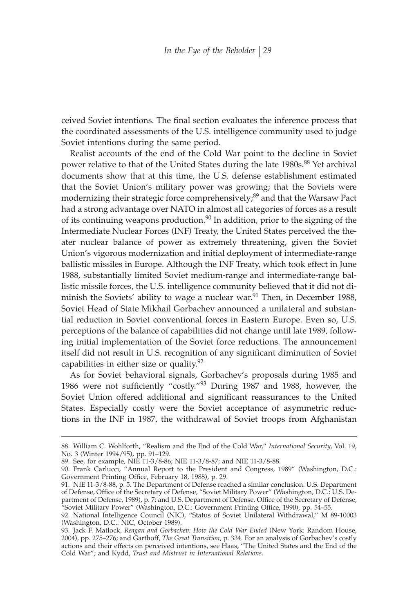ceived Soviet intentions. The final section evaluates the inference process that the coordinated assessments of the U.S. intelligence community used to judge Soviet intentions during the same period.

Realist accounts of the end of the Cold War point to the decline in Soviet power relative to that of the United States during the late 1980s.<sup>88</sup> Yet archival documents show that at this time, the U.S. defense establishment estimated that the Soviet Union's military power was growing; that the Soviets were modernizing their strategic force comprehensively;<sup>89</sup> and that the Warsaw Pact had a strong advantage over NATO in almost all categories of forces as a result of its continuing weapons production.<sup>90</sup> In addition, prior to the signing of the Intermediate Nuclear Forces (INF) Treaty, the United States perceived the theater nuclear balance of power as extremely threatening, given the Soviet Union's vigorous modernization and initial deployment of intermediate-range ballistic missiles in Europe. Although the INF Treaty, which took effect in June 1988, substantially limited Soviet medium-range and intermediate-range ballistic missile forces, the U.S. intelligence community believed that it did not diminish the Soviets' ability to wage a nuclear war.<sup>91</sup> Then, in December 1988, Soviet Head of State Mikhail Gorbachev announced a unilateral and substantial reduction in Soviet conventional forces in Eastern Europe. Even so, U.S. perceptions of the balance of capabilities did not change until late 1989, following initial implementation of the Soviet force reductions. The announcement itself did not result in U.S. recognition of any significant diminution of Soviet capabilities in either size or quality. $92$ 

As for Soviet behavioral signals, Gorbachev's proposals during 1985 and 1986 were not sufficiently "costly." $93$  During 1987 and 1988, however, the Soviet Union offered additional and significant reassurances to the United States. Especially costly were the Soviet acceptance of asymmetric reductions in the INF in 1987, the withdrawal of Soviet troops from Afghanistan

<sup>88.</sup> William C. Wohlforth, "Realism and the End of the Cold War," *International Security*, Vol. 19, No. 3 (Winter 1994/95), pp. 91–129.

<sup>89.</sup> See, for example, NIE 11-3/8-86; NIE 11-3/8-87; and NIE 11-3/8-88.

<sup>90.</sup> Frank Carlucci, "Annual Report to the President and Congress, 1989" (Washington, D.C.: Government Printing Office, February 18, 1988), p. 29.

<sup>91.</sup> NIE 11-3/8-88, p. 5. The Department of Defense reached a similar conclusion. U.S. Department of Defense, Office of the Secretary of Defense, "Soviet Military Power" (Washington, D.C.: U.S. Department of Defense, 1989), p. 7; and U.S. Department of Defense, Office of the Secretary of Defense, "Soviet Military Power" (Washington, D.C.: Government Printing Office, 1990), pp. 54–55.

<sup>92.</sup> National Intelligence Council (NIC), "Status of Soviet Unilateral Withdrawal," M 89-10003 (Washington, D.C.: NIC, October 1989).

<sup>93.</sup> Jack F. Matlock, *Reagan and Gorbachev: How the Cold War Ended* (New York: Random House, 2004), pp. 275–276; and Garthoff, *The Great Transition*, p. 334. For an analysis of Gorbachev's costly actions and their effects on perceived intentions, see Haas, "The United States and the End of the Cold War"; and Kydd, *Trust and Mistrust in International Relations*.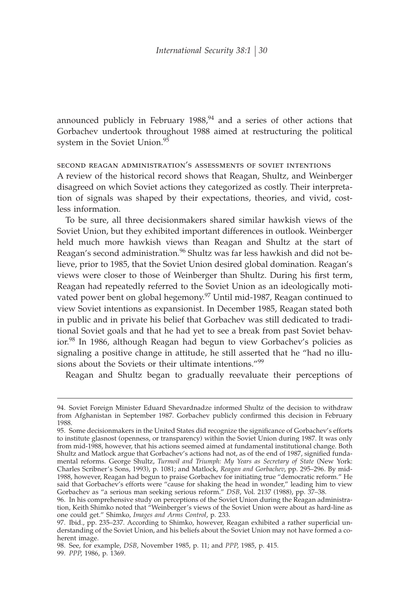announced publicly in February  $1988<sup>94</sup>$  and a series of other actions that Gorbachev undertook throughout 1988 aimed at restructuring the political system in the Soviet Union.<sup>95</sup>

second reagan administration's assessments of soviet intentions A review of the historical record shows that Reagan, Shultz, and Weinberger disagreed on which Soviet actions they categorized as costly. Their interpretation of signals was shaped by their expectations, theories, and vivid, costless information.

To be sure, all three decisionmakers shared similar hawkish views of the Soviet Union, but they exhibited important differences in outlook. Weinberger held much more hawkish views than Reagan and Shultz at the start of Reagan's second administration.<sup>96</sup> Shultz was far less hawkish and did not believe, prior to 1985, that the Soviet Union desired global domination. Reagan's views were closer to those of Weinberger than Shultz. During his first term, Reagan had repeatedly referred to the Soviet Union as an ideologically motivated power bent on global hegemony.<sup>97</sup> Until mid-1987, Reagan continued to view Soviet intentions as expansionist. In December 1985, Reagan stated both in public and in private his belief that Gorbachev was still dedicated to traditional Soviet goals and that he had yet to see a break from past Soviet behavior.98 In 1986, although Reagan had begun to view Gorbachev's policies as signaling a positive change in attitude, he still asserted that he "had no illusions about the Soviets or their ultimate intentions."<sup>99</sup>

Reagan and Shultz began to gradually reevaluate their perceptions of

<sup>94.</sup> Soviet Foreign Minister Eduard Shevardnadze informed Shultz of the decision to withdraw from Afghanistan in September 1987. Gorbachev publicly confirmed this decision in February 1988.

<sup>95.</sup> Some decisionmakers in the United States did recognize the significance of Gorbachev's efforts to institute glasnost (openness, or transparency) within the Soviet Union during 1987. It was only from mid-1988, however, that his actions seemed aimed at fundamental institutional change. Both Shultz and Matlock argue that Gorbachev's actions had not, as of the end of 1987, signified fundamental reforms. George Shultz, *Turmoil and Triumph: My Years as Secretary of State* (New York: Charles Scribner's Sons, 1993), p. 1081; and Matlock, *Reagan and Gorbachev*, pp. 295–296. By mid-1988, however, Reagan had begun to praise Gorbachev for initiating true "democratic reform." He said that Gorbachev's efforts were "cause for shaking the head in wonder," leading him to view Gorbachev as "a serious man seeking serious reform." *DSB*, Vol. 2137 (1988), pp. 37–38.

<sup>96.</sup> In his comprehensive study on perceptions of the Soviet Union during the Reagan administration, Keith Shimko noted that "Weinberger's views of the Soviet Union were about as hard-line as one could get." Shimko, *Images and Arms Control*, p. 233.

<sup>97.</sup> Ibid., pp. 235–237. According to Shimko, however, Reagan exhibited a rather superficial understanding of the Soviet Union, and his beliefs about the Soviet Union may not have formed a coherent image.

<sup>98.</sup> See, for example, *DSB*, November 1985, p. 11; and *PPP*, 1985, p. 415.

<sup>99.</sup> *PPP*, 1986, p. 1369.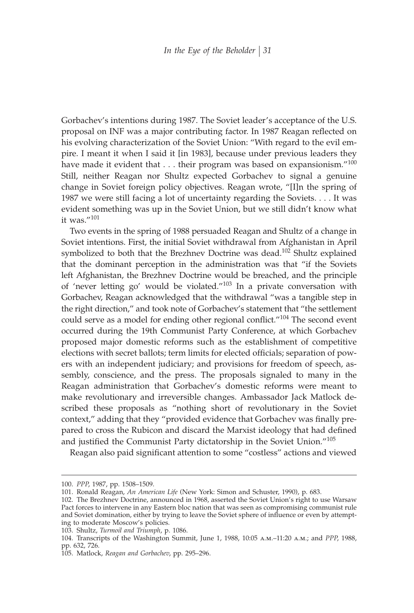Gorbachev's intentions during 1987. The Soviet leader's acceptance of the U.S. proposal on INF was a major contributing factor. In 1987 Reagan reflected on his evolving characterization of the Soviet Union: "With regard to the evil empire. I meant it when I said it [in 1983], because under previous leaders they have made it evident that  $\dots$  their program was based on expansionism."<sup>100</sup> Still, neither Reagan nor Shultz expected Gorbachev to signal a genuine change in Soviet foreign policy objectives. Reagan wrote, "[I]n the spring of 1987 we were still facing a lot of uncertainty regarding the Soviets. . . . It was evident something was up in the Soviet Union, but we still didn't know what it was."<sup>101</sup>

Two events in the spring of 1988 persuaded Reagan and Shultz of a change in Soviet intentions. First, the initial Soviet withdrawal from Afghanistan in April symbolized to both that the Brezhnev Doctrine was dead.<sup>102</sup> Shultz explained that the dominant perception in the administration was that "if the Soviets left Afghanistan, the Brezhnev Doctrine would be breached, and the principle of 'never letting go' would be violated."103 In a private conversation with Gorbachev, Reagan acknowledged that the withdrawal "was a tangible step in the right direction," and took note of Gorbachev's statement that "the settlement could serve as a model for ending other regional conflict."<sup>104</sup> The second event occurred during the 19th Communist Party Conference, at which Gorbachev proposed major domestic reforms such as the establishment of competitive elections with secret ballots; term limits for elected officials; separation of powers with an independent judiciary; and provisions for freedom of speech, assembly, conscience, and the press. The proposals signaled to many in the Reagan administration that Gorbachev's domestic reforms were meant to make revolutionary and irreversible changes. Ambassador Jack Matlock described these proposals as "nothing short of revolutionary in the Soviet context," adding that they "provided evidence that Gorbachev was finally prepared to cross the Rubicon and discard the Marxist ideology that had defined and justified the Communist Party dictatorship in the Soviet Union."<sup>105</sup>

Reagan also paid significant attention to some "costless" actions and viewed

<sup>100.</sup> *PPP*, 1987, pp. 1508–1509.

<sup>101.</sup> Ronald Reagan, *An American Life* (New York: Simon and Schuster, 1990), p. 683.

<sup>102.</sup> The Brezhnev Doctrine, announced in 1968, asserted the Soviet Union's right to use Warsaw Pact forces to intervene in any Eastern bloc nation that was seen as compromising communist rule and Soviet domination, either by trying to leave the Soviet sphere of influence or even by attempting to moderate Moscow's policies.

<sup>103.</sup> Shultz, *Turmoil and Triumph*, p. 1086.

<sup>104.</sup> Transcripts of the Washington Summit, June 1, 1988, 10:05 a.m.–11:20 a.m.; and *PPP*, 1988, pp. 632, 726.

<sup>105.</sup> Matlock, *Reagan and Gorbachev*, pp. 295–296.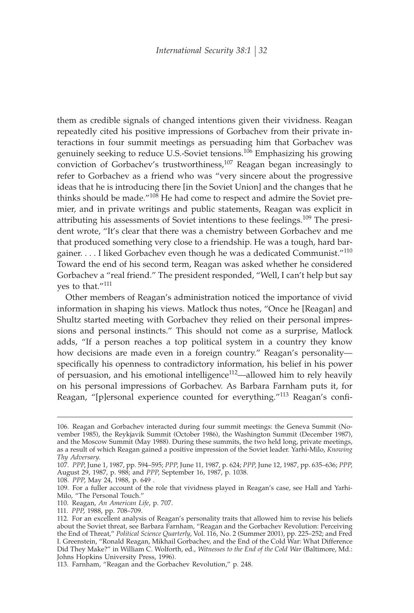them as credible signals of changed intentions given their vividness. Reagan repeatedly cited his positive impressions of Gorbachev from their private interactions in four summit meetings as persuading him that Gorbachev was genuinely seeking to reduce U.S.-Soviet tensions.<sup>106</sup> Emphasizing his growing conviction of Gorbachev's trustworthiness, $107$  Reagan began increasingly to refer to Gorbachev as a friend who was "very sincere about the progressive ideas that he is introducing there [in the Soviet Union] and the changes that he thinks should be made."<sup>108</sup> He had come to respect and admire the Soviet premier, and in private writings and public statements, Reagan was explicit in attributing his assessments of Soviet intentions to these feelings.<sup>109</sup> The president wrote, "It's clear that there was a chemistry between Gorbachev and me that produced something very close to a friendship. He was a tough, hard bargainer....I liked Gorbachev even though he was a dedicated Communist."<sup>110</sup> Toward the end of his second term, Reagan was asked whether he considered Gorbachev a "real friend." The president responded, "Well, I can't help but say yes to that."<sup>111</sup>

Other members of Reagan's administration noticed the importance of vivid information in shaping his views. Matlock thus notes, "Once he [Reagan] and Shultz started meeting with Gorbachev they relied on their personal impressions and personal instincts." This should not come as a surprise, Matlock adds, "If a person reaches a top political system in a country they know how decisions are made even in a foreign country." Reagan's personality specifically his openness to contradictory information, his belief in his power of persuasion, and his emotional intelligence<sup>112</sup>—allowed him to rely heavily on his personal impressions of Gorbachev. As Barbara Farnham puts it, for Reagan, "[p]ersonal experience counted for everything."<sup>113</sup> Reagan's confi-

<sup>106.</sup> Reagan and Gorbachev interacted during four summit meetings: the Geneva Summit (November 1985), the Reykjavik Summit (October 1986), the Washington Summit (December 1987), and the Moscow Summit (May 1988). During these summits, the two held long, private meetings, as a result of which Reagan gained a positive impression of the Soviet leader. Yarhi-Milo, *Knowing Thy Adversary*.

<sup>107.</sup> *PPP*, June 1, 1987, pp. 594–595; *PPP*, June 11, 1987, p. 624; *PPP*, June 12, 1987, pp. 635–636; *PPP*, August 29, 1987, p. 988; and *PPP*, September 16, 1987, p. 1038.

<sup>108.</sup> *PPP*, May 24, 1988, p. 649 .

<sup>109.</sup> For a fuller account of the role that vividness played in Reagan's case, see Hall and Yarhi-Milo, "The Personal Touch."

<sup>110.</sup> Reagan, *An American Life*, p. 707.

<sup>111.</sup> *PPP*, 1988, pp. 708–709.

<sup>112.</sup> For an excellent analysis of Reagan's personality traits that allowed him to revise his beliefs about the Soviet threat, see Barbara Farnham, "Reagan and the Gorbachev Revolution: Perceiving the End of Threat," *Political Science Quarterly*, Vol. 116, No. 2 (Summer 2001), pp. 225–252; and Fred I. Greenstein, "Ronald Reagan, Mikhail Gorbachev, and the End of the Cold War: What Difference Did They Make?" in William C. Wolforth, ed., *Witnesses to the End of the Cold War* (Baltimore, Md.: Johns Hopkins University Press, 1996).

<sup>113.</sup> Farnham, "Reagan and the Gorbachev Revolution," p. 248.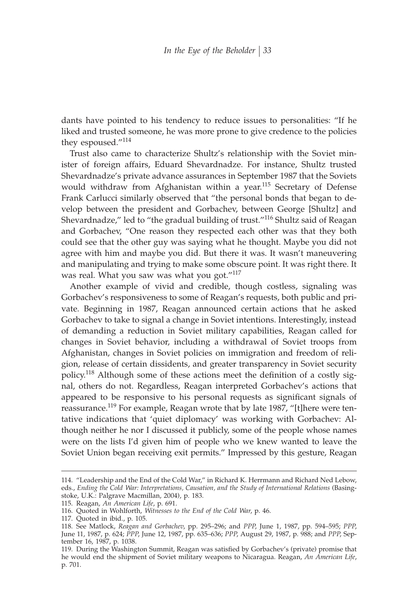dants have pointed to his tendency to reduce issues to personalities: "If he liked and trusted someone, he was more prone to give credence to the policies they espoused."<sup>114</sup>

Trust also came to characterize Shultz's relationship with the Soviet minister of foreign affairs, Eduard Shevardnadze. For instance, Shultz trusted Shevardnadze's private advance assurances in September 1987 that the Soviets would withdraw from Afghanistan within a year.<sup>115</sup> Secretary of Defense Frank Carlucci similarly observed that "the personal bonds that began to develop between the president and Gorbachev, between George [Shultz] and Shevardnadze," led to "the gradual building of trust."<sup>116</sup> Shultz said of Reagan and Gorbachev, "One reason they respected each other was that they both could see that the other guy was saying what he thought. Maybe you did not agree with him and maybe you did. But there it was. It wasn't maneuvering and manipulating and trying to make some obscure point. It was right there. It was real. What you saw was what you got."<sup>117</sup>

Another example of vivid and credible, though costless, signaling was Gorbachev's responsiveness to some of Reagan's requests, both public and private. Beginning in 1987, Reagan announced certain actions that he asked Gorbachev to take to signal a change in Soviet intentions. Interestingly, instead of demanding a reduction in Soviet military capabilities, Reagan called for changes in Soviet behavior, including a withdrawal of Soviet troops from Afghanistan, changes in Soviet policies on immigration and freedom of religion, release of certain dissidents, and greater transparency in Soviet security policy.<sup>118</sup> Although some of these actions meet the definition of a costly signal, others do not. Regardless, Reagan interpreted Gorbachev's actions that appeared to be responsive to his personal requests as significant signals of reassurance.<sup>119</sup> For example, Reagan wrote that by late 1987, "[t]here were tentative indications that 'quiet diplomacy' was working with Gorbachev: Although neither he nor I discussed it publicly, some of the people whose names were on the lists I'd given him of people who we knew wanted to leave the Soviet Union began receiving exit permits." Impressed by this gesture, Reagan

<sup>114. &</sup>quot;Leadership and the End of the Cold War," in Richard K. Herrmann and Richard Ned Lebow, eds., *Ending the Cold War: Interpretations, Causation, and the Study of International Relations* (Basingstoke, U.K.: Palgrave Macmillan, 2004), p. 183.

<sup>115.</sup> Reagan, *An American Life*, p. 691.

<sup>116.</sup> Quoted in Wohlforth, *Witnesses to the End of the Cold War*, p. 46.

<sup>117.</sup> Quoted in ibid., p. 105.

<sup>118.</sup> See Matlock, *Reagan and Gorbachev*, pp. 295–296; and *PPP*, June 1, 1987, pp. 594–595; *PPP*, June 11, 1987, p. 624; *PPP*, June 12, 1987, pp. 635–636; *PPP*, August 29, 1987, p. 988; and *PPP*, September 16, 1987, p. 1038.

<sup>119.</sup> During the Washington Summit, Reagan was satisfied by Gorbachev's (private) promise that he would end the shipment of Soviet military weapons to Nicaragua. Reagan, *An American Life*, p. 701.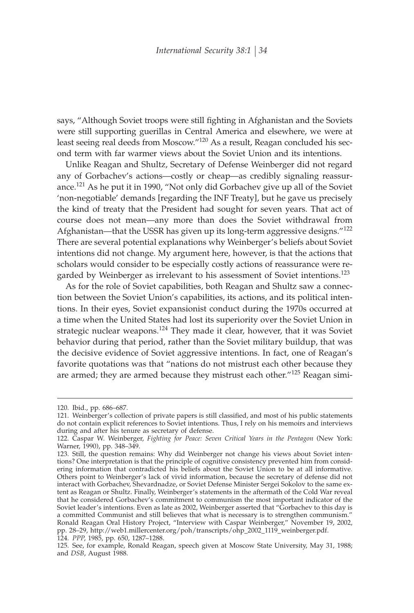says, "Although Soviet troops were still fighting in Afghanistan and the Soviets were still supporting guerillas in Central America and elsewhere, we were at least seeing real deeds from Moscow."<sup>120</sup> As a result, Reagan concluded his second term with far warmer views about the Soviet Union and its intentions.

Unlike Reagan and Shultz, Secretary of Defense Weinberger did not regard any of Gorbachev's actions—costly or cheap—as credibly signaling reassurance.<sup>121</sup> As he put it in 1990, "Not only did Gorbachev give up all of the Soviet 'non-negotiable' demands [regarding the INF Treaty], but he gave us precisely the kind of treaty that the President had sought for seven years. That act of course does not mean—any more than does the Soviet withdrawal from Afghanistan—that the USSR has given up its long-term aggressive designs."<sup>122</sup> There are several potential explanations why Weinberger's beliefs about Soviet intentions did not change. My argument here, however, is that the actions that scholars would consider to be especially costly actions of reassurance were regarded by Weinberger as irrelevant to his assessment of Soviet intentions.<sup>123</sup>

As for the role of Soviet capabilities, both Reagan and Shultz saw a connection between the Soviet Union's capabilities, its actions, and its political intentions. In their eyes, Soviet expansionist conduct during the 1970s occurred at a time when the United States had lost its superiority over the Soviet Union in strategic nuclear weapons.<sup>124</sup> They made it clear, however, that it was Soviet behavior during that period, rather than the Soviet military buildup, that was the decisive evidence of Soviet aggressive intentions. In fact, one of Reagan's favorite quotations was that "nations do not mistrust each other because they are armed; they are armed because they mistrust each other."<sup>125</sup> Reagan simi-

<sup>120.</sup> Ibid., pp. 686–687.

<sup>121.</sup> Weinberger's collection of private papers is still classified, and most of his public statements do not contain explicit references to Soviet intentions. Thus, I rely on his memoirs and interviews during and after his tenure as secretary of defense.

<sup>122.</sup> Caspar W. Weinberger, *Fighting for Peace: Seven Critical Years in the Pentagon* (New York: Warner, 1990), pp. 348–349.

<sup>123.</sup> Still, the question remains: Why did Weinberger not change his views about Soviet intentions? One interpretation is that the principle of cognitive consistency prevented him from considering information that contradicted his beliefs about the Soviet Union to be at all informative. Others point to Weinberger's lack of vivid information, because the secretary of defense did not interact with Gorbachev, Shevardnadze, or Soviet Defense Minister Sergei Sokolov to the same extent as Reagan or Shultz. Finally, Weinberger's statements in the aftermath of the Cold War reveal that he considered Gorbachev's commitment to communism the most important indicator of the Soviet leader's intentions. Even as late as 2002, Weinberger asserted that "Gorbachev to this day is a committed Communist and still believes that what is necessary is to strengthen communism." Ronald Reagan Oral History Project, "Interview with Caspar Weinberger," November 19, 2002, pp. 28–29, http://web1.millercenter.org/poh/transcripts/ohp\_2002\_1119\_weinberger.pdf. 124. *PPP*, 1985, pp. 650, 1287–1288.

<sup>125.</sup> See, for example, Ronald Reagan, speech given at Moscow State University, May 31, 1988; and *DSB*, August 1988.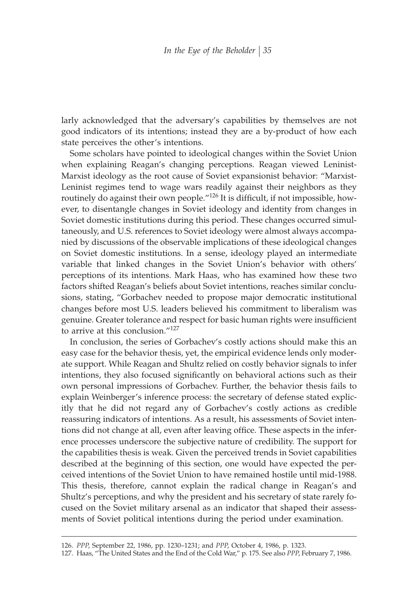larly acknowledged that the adversary's capabilities by themselves are not good indicators of its intentions; instead they are a by-product of how each state perceives the other's intentions.

Some scholars have pointed to ideological changes within the Soviet Union when explaining Reagan's changing perceptions. Reagan viewed Leninist-Marxist ideology as the root cause of Soviet expansionist behavior: "Marxist-Leninist regimes tend to wage wars readily against their neighbors as they routinely do against their own people."<sup>126</sup> It is difficult, if not impossible, however, to disentangle changes in Soviet ideology and identity from changes in Soviet domestic institutions during this period. These changes occurred simultaneously, and U.S. references to Soviet ideology were almost always accompanied by discussions of the observable implications of these ideological changes on Soviet domestic institutions. In a sense, ideology played an intermediate variable that linked changes in the Soviet Union's behavior with others' perceptions of its intentions. Mark Haas, who has examined how these two factors shifted Reagan's beliefs about Soviet intentions, reaches similar conclusions, stating, "Gorbachev needed to propose major democratic institutional changes before most U.S. leaders believed his commitment to liberalism was genuine. Greater tolerance and respect for basic human rights were insufficient to arrive at this conclusion."<sup>127</sup>

In conclusion, the series of Gorbachev's costly actions should make this an easy case for the behavior thesis, yet, the empirical evidence lends only moderate support. While Reagan and Shultz relied on costly behavior signals to infer intentions, they also focused significantly on behavioral actions such as their own personal impressions of Gorbachev. Further, the behavior thesis fails to explain Weinberger's inference process: the secretary of defense stated explicitly that he did not regard any of Gorbachev's costly actions as credible reassuring indicators of intentions. As a result, his assessments of Soviet intentions did not change at all, even after leaving office. These aspects in the inference processes underscore the subjective nature of credibility. The support for the capabilities thesis is weak. Given the perceived trends in Soviet capabilities described at the beginning of this section, one would have expected the perceived intentions of the Soviet Union to have remained hostile until mid-1988. This thesis, therefore, cannot explain the radical change in Reagan's and Shultz's perceptions, and why the president and his secretary of state rarely focused on the Soviet military arsenal as an indicator that shaped their assessments of Soviet political intentions during the period under examination.

<sup>126.</sup> *PPP*, September 22, 1986, pp. 1230–1231; and *PPP*, October 4, 1986, p. 1323.

<sup>127.</sup> Haas, "The United States and the End of the Cold War," p. 175. See also *PPP*, February 7, 1986.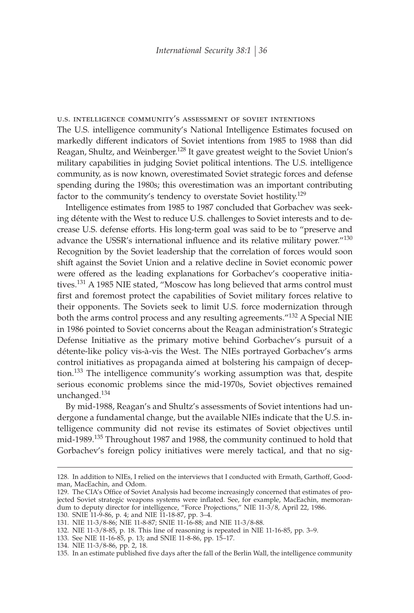## u.s. intelligence community's assessment of soviet intentions

The U.S. intelligence community's National Intelligence Estimates focused on markedly different indicators of Soviet intentions from 1985 to 1988 than did Reagan, Shultz, and Weinberger.128 It gave greatest weight to the Soviet Union's military capabilities in judging Soviet political intentions. The U.S. intelligence community, as is now known, overestimated Soviet strategic forces and defense spending during the 1980s; this overestimation was an important contributing factor to the community's tendency to overstate Soviet hostility.129

Intelligence estimates from 1985 to 1987 concluded that Gorbachev was seeking détente with the West to reduce U.S. challenges to Soviet interests and to decrease U.S. defense efforts. His long-term goal was said to be to "preserve and advance the USSR's international influence and its relative military power."<sup>130</sup> Recognition by the Soviet leadership that the correlation of forces would soon shift against the Soviet Union and a relative decline in Soviet economic power were offered as the leading explanations for Gorbachev's cooperative initiatives.<sup>131</sup> A 1985 NIE stated, "Moscow has long believed that arms control must first and foremost protect the capabilities of Soviet military forces relative to their opponents. The Soviets seek to limit U.S. force modernization through both the arms control process and any resulting agreements."<sup>132</sup> A Special NIE in 1986 pointed to Soviet concerns about the Reagan administration's Strategic Defense Initiative as the primary motive behind Gorbachev's pursuit of a détente-like policy vis-à-vis the West. The NIEs portrayed Gorbachev's arms control initiatives as propaganda aimed at bolstering his campaign of deception.<sup>133</sup> The intelligence community's working assumption was that, despite serious economic problems since the mid-1970s, Soviet objectives remained unchanged.<sup>134</sup>

By mid-1988, Reagan's and Shultz's assessments of Soviet intentions had undergone a fundamental change, but the available NIEs indicate that the U.S. intelligence community did not revise its estimates of Soviet objectives until mid-1989.<sup>135</sup> Throughout 1987 and 1988, the community continued to hold that Gorbachev's foreign policy initiatives were merely tactical, and that no sig-

<sup>128.</sup> In addition to NIEs, I relied on the interviews that I conducted with Ermath, Garthoff, Goodman, MacEachin, and Odom.

<sup>129.</sup> The CIA's Office of Soviet Analysis had become increasingly concerned that estimates of projected Soviet strategic weapons systems were inflated. See, for example, MacEachin, memorandum to deputy director for intelligence, "Force Projections," NIE 11-3/8, April 22, 1986.

<sup>130.</sup> SNIE 11-9-86, p. 4; and NIE 11-18-87, pp. 3–4.

<sup>131.</sup> NIE 11-3/8-86; NIE 11-8-87; SNIE 11-16-88; and NIE 11-3/8-88. 132. NIE 11-3/8-85, p. 18. This line of reasoning is repeated in NIE 11-16-85, pp. 3–9.

<sup>133.</sup> See NIE 11-16-85, p. 13; and SNIE 11-8-86, pp. 15–17.

<sup>134.</sup> NIE 11-3/8-86, pp. 2, 18.

<sup>135.</sup> In an estimate published five days after the fall of the Berlin Wall, the intelligence community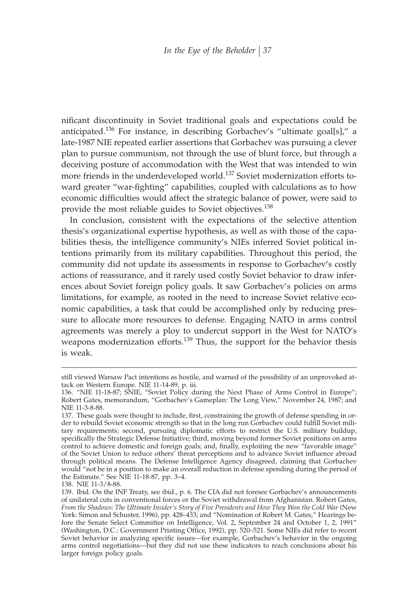nificant discontinuity in Soviet traditional goals and expectations could be anticipated.<sup>136</sup> For instance, in describing Gorbachev's "ultimate goal[s]," a late-1987 NIE repeated earlier assertions that Gorbachev was pursuing a clever plan to pursue communism, not through the use of blunt force, but through a deceiving posture of accommodation with the West that was intended to win more friends in the underdeveloped world.<sup>137</sup> Soviet modernization efforts toward greater "war-fighting" capabilities, coupled with calculations as to how economic difficulties would affect the strategic balance of power, were said to provide the most reliable guides to Soviet objectives.<sup>138</sup>

In conclusion, consistent with the expectations of the selective attention thesis's organizational expertise hypothesis, as well as with those of the capabilities thesis, the intelligence community's NIEs inferred Soviet political intentions primarily from its military capabilities. Throughout this period, the community did not update its assessments in response to Gorbachev's costly actions of reassurance, and it rarely used costly Soviet behavior to draw inferences about Soviet foreign policy goals. It saw Gorbachev's policies on arms limitations, for example, as rooted in the need to increase Soviet relative economic capabilities, a task that could be accomplished only by reducing pressure to allocate more resources to defense. Engaging NATO in arms control agreements was merely a ploy to undercut support in the West for NATO's weapons modernization efforts.<sup>139</sup> Thus, the support for the behavior thesis is weak.

still viewed Warsaw Pact intentions as hostile, and warned of the possibility of an unprovoked attack on Western Europe. NIE 11-14-89, p. iii.

<sup>136. &</sup>quot;NIE 11-18-87; SNIE, "Soviet Policy during the Next Phase of Arms Control in Europe"; Robert Gates, memorandum, "Gorbachev's Gameplan: The Long View," November 24, 1987; and NIE 11-3-8-88.

<sup>137.</sup> These goals were thought to include, first, constraining the growth of defense spending in order to rebuild Soviet economic strength so that in the long run Gorbachev could fulfill Soviet military requirements; second, pursuing diplomatic efforts to restrict the U.S. military buildup, specifically the Strategic Defense Initiative; third, moving beyond former Soviet positions on arms control to achieve domestic and foreign goals; and, finally, exploiting the new "favorable image" of the Soviet Union to reduce others' threat perceptions and to advance Soviet influence abroad through political means. The Defense Intelligence Agency disagreed, claiming that Gorbachev would "not be in a position to make an overall reduction in defense spending during the period of the Estimate." See NIE 11-18-87, pp. 3–4.

<sup>138.</sup> NIE 11-3/8-88.

<sup>139.</sup> Ibid. On the INF Treaty, see ibid., p. 6. The CIA did not foresee Gorbachev's announcements of unilateral cuts in conventional forces or the Soviet withdrawal from Afghanistan. Robert Gates, *From the Shadows: The Ultimate Insider's Story of Five Presidents and How They Won the Cold War* (New York: Simon and Schuster, 1996), pp. 428–433; and "Nomination of Robert M. Gates," Hearings before the Senate Select Committee on Intelligence, Vol. 2, September 24 and October 1, 2, 1991" (Washington, D.C.: Government Printing Office, 1992), pp. 520–521. Some NIEs did refer to recent Soviet behavior in analyzing specific issues—for example, Gorbachev's behavior in the ongoing arms control negotiations—but they did not use these indicators to reach conclusions about his larger foreign policy goals.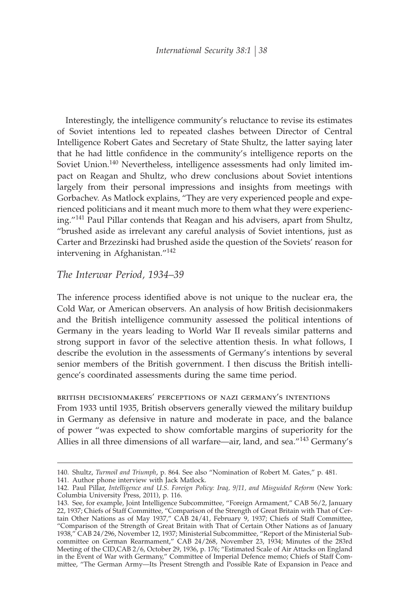Interestingly, the intelligence community's reluctance to revise its estimates of Soviet intentions led to repeated clashes between Director of Central Intelligence Robert Gates and Secretary of State Shultz, the latter saying later that he had little confidence in the community's intelligence reports on the Soviet Union.<sup>140</sup> Nevertheless, intelligence assessments had only limited impact on Reagan and Shultz, who drew conclusions about Soviet intentions largely from their personal impressions and insights from meetings with Gorbachev. As Matlock explains, "They are very experienced people and experienced politicians and it meant much more to them what they were experiencing."<sup>141</sup> Paul Pillar contends that Reagan and his advisers, apart from Shultz, "brushed aside as irrelevant any careful analysis of Soviet intentions, just as Carter and Brzezinski had brushed aside the question of the Soviets' reason for intervening in Afghanistan."<sup>142</sup>

# *The Interwar Period, 1934–39*

The inference process identified above is not unique to the nuclear era, the Cold War, or American observers. An analysis of how British decisionmakers and the British intelligence community assessed the political intentions of Germany in the years leading to World War II reveals similar patterns and strong support in favor of the selective attention thesis. In what follows, I describe the evolution in the assessments of Germany's intentions by several senior members of the British government. I then discuss the British intelligence's coordinated assessments during the same time period.

british decisionmakers' perceptions of nazi germany's intentions From 1933 until 1935, British observers generally viewed the military buildup in Germany as defensive in nature and moderate in pace, and the balance of power "was expected to show comfortable margins of superiority for the Allies in all three dimensions of all warfare—air, land, and sea."<sup>143</sup> Germany's

<sup>140.</sup> Shultz, *Turmoil and Triumph*, p. 864. See also "Nomination of Robert M. Gates," p. 481.

<sup>141.</sup> Author phone interview with Jack Matlock.

<sup>142.</sup> Paul Pillar, *Intelligence and U.S. Foreign Policy: Iraq, 9/11, and Misguided Reform* (New York: Columbia University Press, 2011), p. 116.

<sup>143.</sup> See, for example, Joint Intelligence Subcommittee, "Foreign Armament," CAB 56/2, January 22, 1937; Chiefs of Staff Committee, "Comparison of the Strength of Great Britain with That of Certain Other Nations as of May 1937," CAB 24/41, February 9, 1937; Chiefs of Staff Committee, "Comparison of the Strength of Great Britain with That of Certain Other Nations as of January 1938," CAB 24/296, November 12, 1937; Ministerial Subcommittee, "Report of the Ministerial Subcommittee on German Rearmament," CAB 24/268, November 23, 1934; Minutes of the 283rd Meeting of the CID,CAB 2/6, October 29, 1936, p. 176; "Estimated Scale of Air Attacks on England in the Event of War with Germany," Committee of Imperial Defence memo; Chiefs of Staff Committee, "The German Army—Its Present Strength and Possible Rate of Expansion in Peace and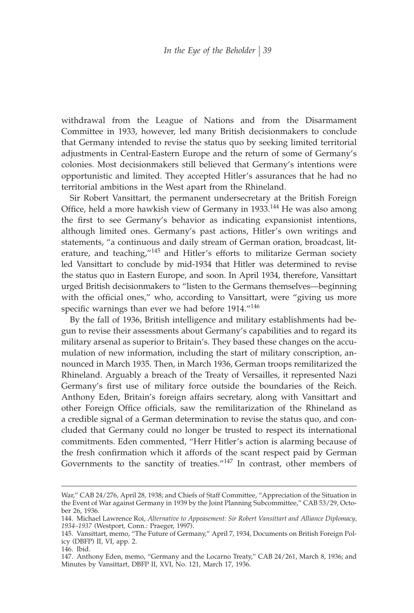withdrawal from the League of Nations and from the Disarmament Committee in 1933, however, led many British decisionmakers to conclude that Germany intended to revise the status quo by seeking limited territorial adjustments in Central-Eastern Europe and the return of some of Germany's colonies. Most decisionmakers still believed that Germany's intentions were opportunistic and limited. They accepted Hitler's assurances that he had no territorial ambitions in the West apart from the Rhineland.

Sir Robert Vansittart, the permanent undersecretary at the British Foreign Office, held a more hawkish view of Germany in 1933.<sup>144</sup> He was also among the first to see Germany's behavior as indicating expansionist intentions, although limited ones. Germany's past actions, Hitler's own writings and statements, "a continuous and daily stream of German oration, broadcast, literature, and teaching,"<sup>145</sup> and Hitler's efforts to militarize German society led Vansittart to conclude by mid-1934 that Hitler was determined to revise the status quo in Eastern Europe, and soon. In April 1934, therefore, Vansittart urged British decisionmakers to "listen to the Germans themselves—beginning with the official ones," who, according to Vansittart, were "giving us more specific warnings than ever we had before  $1914.^{\prime\prime 146}$ 

By the fall of 1936, British intelligence and military establishments had begun to revise their assessments about Germany's capabilities and to regard its military arsenal as superior to Britain's. They based these changes on the accumulation of new information, including the start of military conscription, announced in March 1935. Then, in March 1936, German troops remilitarized the Rhineland. Arguably a breach of the Treaty of Versailles, it represented Nazi Germany's first use of military force outside the boundaries of the Reich. Anthony Eden, Britain's foreign affairs secretary, along with Vansittart and other Foreign Office officials, saw the remilitarization of the Rhineland as a credible signal of a German determination to revise the status quo, and concluded that Germany could no longer be trusted to respect its international commitments. Eden commented, "Herr Hitler's action is alarming because of the fresh confirmation which it affords of the scant respect paid by German Governments to the sanctity of treaties."<sup>147</sup> In contrast, other members of

War," CAB 24/276, April 28, 1938; and Chiefs of Staff Committee, "Appreciation of the Situation in the Event of War against Germany in 1939 by the Joint Planning Subcommittee," CAB 53/29, October 26, 1936.

<sup>144.</sup> Michael Lawrence Roi, *Alternative to Appeasement: Sir Robert Vansittart and Alliance Diplomacy, 1934–1937* (Westport, Conn.: Praeger, 1997).

<sup>145.</sup> Vansittart, memo, "The Future of Germany," April 7, 1934, Documents on British Foreign Policy (DBFP) II, VI, app. 2.

<sup>146.</sup> Ibid.

<sup>147.</sup> Anthony Eden, memo, "Germany and the Locarno Treaty," CAB 24/261, March 8, 1936; and Minutes by Vansittart, DBFP II, XVI, No. 121, March 17, 1936.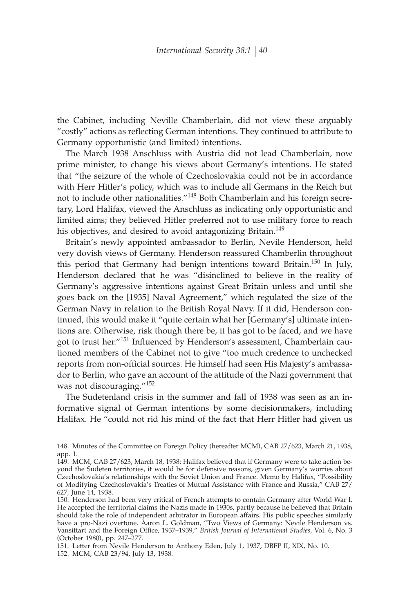the Cabinet, including Neville Chamberlain, did not view these arguably "costly" actions as reflecting German intentions. They continued to attribute to Germany opportunistic (and limited) intentions.

The March 1938 Anschluss with Austria did not lead Chamberlain, now prime minister, to change his views about Germany's intentions. He stated that "the seizure of the whole of Czechoslovakia could not be in accordance with Herr Hitler's policy, which was to include all Germans in the Reich but not to include other nationalities."<sup>148</sup> Both Chamberlain and his foreign secretary, Lord Halifax, viewed the Anschluss as indicating only opportunistic and limited aims; they believed Hitler preferred not to use military force to reach his objectives, and desired to avoid antagonizing Britain.<sup>149</sup>

Britain's newly appointed ambassador to Berlin, Nevile Henderson, held very dovish views of Germany. Henderson reassured Chamberlin throughout this period that Germany had benign intentions toward Britain.<sup>150</sup> In July, Henderson declared that he was "disinclined to believe in the reality of Germany's aggressive intentions against Great Britain unless and until she goes back on the [1935] Naval Agreement," which regulated the size of the German Navy in relation to the British Royal Navy. If it did, Henderson continued, this would make it "quite certain what her [Germany's] ultimate intentions are. Otherwise, risk though there be, it has got to be faced, and we have got to trust her."<sup>151</sup> Influenced by Henderson's assessment, Chamberlain cautioned members of the Cabinet not to give "too much credence to unchecked reports from non-official sources. He himself had seen His Majesty's ambassador to Berlin, who gave an account of the attitude of the Nazi government that was not discouraging."<sup>152</sup>

The Sudetenland crisis in the summer and fall of 1938 was seen as an informative signal of German intentions by some decisionmakers, including Halifax. He "could not rid his mind of the fact that Herr Hitler had given us

<sup>148.</sup> Minutes of the Committee on Foreign Policy (hereafter MCM), CAB 27/623, March 21, 1938, app. 1.

<sup>149.</sup> MCM, CAB 27/623, March 18, 1938; Halifax believed that if Germany were to take action beyond the Sudeten territories, it would be for defensive reasons, given Germany's worries about Czechoslovakia's relationships with the Soviet Union and France. Memo by Halifax, "Possibility of Modifying Czechoslovakia's Treaties of Mutual Assistance with France and Russia," CAB 27/ 627, June 14, 1938.

<sup>150.</sup> Henderson had been very critical of French attempts to contain Germany after World War I. He accepted the territorial claims the Nazis made in 1930s, partly because he believed that Britain should take the role of independent arbitrator in European affairs. His public speeches similarly have a pro-Nazi overtone. Aaron L. Goldman, "Two Views of Germany: Nevile Henderson vs. Vansittart and the Foreign Office, 1937–1939," *British Journal of International Studies*, Vol. 6, No. 3 (October 1980), pp. 247–277.

<sup>151.</sup> Letter from Nevile Henderson to Anthony Eden, July 1, 1937, DBFP II, XIX, No. 10. 152. MCM, CAB 23/94, July 13, 1938.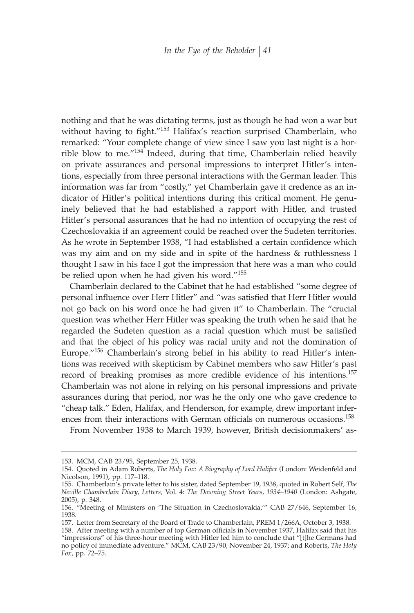nothing and that he was dictating terms, just as though he had won a war but without having to fight."<sup>153</sup> Halifax's reaction surprised Chamberlain, who remarked: "Your complete change of view since I saw you last night is a horrible blow to me."<sup>154</sup> Indeed, during that time, Chamberlain relied heavily on private assurances and personal impressions to interpret Hitler's intentions, especially from three personal interactions with the German leader. This information was far from "costly," yet Chamberlain gave it credence as an indicator of Hitler's political intentions during this critical moment. He genuinely believed that he had established a rapport with Hitler, and trusted Hitler's personal assurances that he had no intention of occupying the rest of Czechoslovakia if an agreement could be reached over the Sudeten territories. As he wrote in September 1938, "I had established a certain confidence which was my aim and on my side and in spite of the hardness & ruthlessness I thought I saw in his face I got the impression that here was a man who could be relied upon when he had given his word."<sup>155</sup>

Chamberlain declared to the Cabinet that he had established "some degree of personal influence over Herr Hitler" and "was satisfied that Herr Hitler would not go back on his word once he had given it" to Chamberlain. The "crucial question was whether Herr Hitler was speaking the truth when he said that he regarded the Sudeten question as a racial question which must be satisfied and that the object of his policy was racial unity and not the domination of Europe."<sup>156</sup> Chamberlain's strong belief in his ability to read Hitler's intentions was received with skepticism by Cabinet members who saw Hitler's past record of breaking promises as more credible evidence of his intentions.<sup>157</sup> Chamberlain was not alone in relying on his personal impressions and private assurances during that period, nor was he the only one who gave credence to "cheap talk." Eden, Halifax, and Henderson, for example, drew important inferences from their interactions with German officials on numerous occasions.<sup>158</sup>

From November 1938 to March 1939, however, British decisionmakers' as-

<sup>153.</sup> MCM, CAB 23/95, September 25, 1938.

<sup>154.</sup> Quoted in Adam Roberts, *The Holy Fox: A Biography of Lord Halifax* (London: Weidenfeld and Nicolson, 1991), pp. 117–118.

<sup>155.</sup> Chamberlain's private letter to his sister, dated September 19, 1938, quoted in Robert Self, *The Neville Chamberlain Diary, Letters*, Vol. 4: *The Downing Street Years, 1934–1940* (London: Ashgate, 2005), p. 348.

<sup>156. &</sup>quot;Meeting of Ministers on 'The Situation in Czechoslovakia,'" CAB 27/646, September 16, 1938.

<sup>157.</sup> Letter from Secretary of the Board of Trade to Chamberlain, PREM 1/266A, October 3, 1938.

<sup>158.</sup> After meeting with a number of top German officials in November 1937, Halifax said that his "impressions" of his three-hour meeting with Hitler led him to conclude that "[t]he Germans had no policy of immediate adventure." MCM, CAB 23/90, November 24, 1937; and Roberts, *The Holy Fox*, pp. 72–75.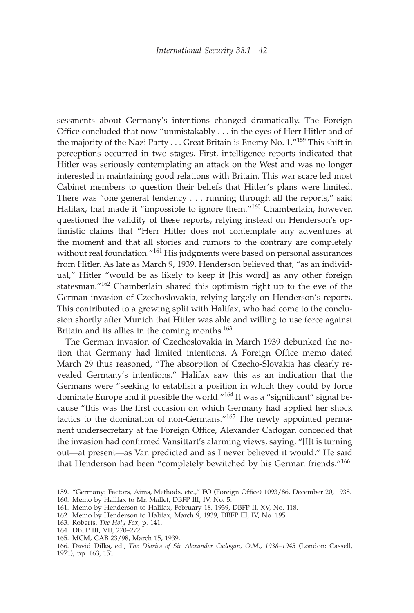sessments about Germany's intentions changed dramatically. The Foreign Office concluded that now "unmistakably . . . in the eyes of Herr Hitler and of the majority of the Nazi Party  $\dots$  Great Britain is Enemy No. 1. $^{\prime\prime}$ 159 This shift in perceptions occurred in two stages. First, intelligence reports indicated that Hitler was seriously contemplating an attack on the West and was no longer interested in maintaining good relations with Britain. This war scare led most Cabinet members to question their beliefs that Hitler's plans were limited. There was "one general tendency  $\dots$  running through all the reports," said Halifax, that made it "impossible to ignore them."<sup>160</sup> Chamberlain, however, questioned the validity of these reports, relying instead on Henderson's optimistic claims that "Herr Hitler does not contemplate any adventures at the moment and that all stories and rumors to the contrary are completely without real foundation."<sup>161</sup> His judgments were based on personal assurances from Hitler. As late as March 9, 1939, Henderson believed that, "as an individual," Hitler "would be as likely to keep it [his word] as any other foreign statesman."<sup>162</sup> Chamberlain shared this optimism right up to the eve of the German invasion of Czechoslovakia, relying largely on Henderson's reports. This contributed to a growing split with Halifax, who had come to the conclusion shortly after Munich that Hitler was able and willing to use force against Britain and its allies in the coming months.<sup>163</sup>

The German invasion of Czechoslovakia in March 1939 debunked the notion that Germany had limited intentions. A Foreign Office memo dated March 29 thus reasoned, "The absorption of Czecho-Slovakia has clearly revealed Germany's intentions." Halifax saw this as an indication that the Germans were "seeking to establish a position in which they could by force dominate Europe and if possible the world."<sup>164</sup> It was a "significant" signal because "this was the first occasion on which Germany had applied her shock tactics to the domination of non-Germans."<sup>165</sup> The newly appointed permanent undersecretary at the Foreign Office, Alexander Cadogan conceded that the invasion had confirmed Vansittart's alarming views, saying, "[I]t is turning out—at present—as Van predicted and as I never believed it would." He said that Henderson had been "completely bewitched by his German friends."<sup>166</sup>

<sup>159. &</sup>quot;Germany: Factors, Aims, Methods, etc.," FO (Foreign Office) 1093/86, December 20, 1938. 160. Memo by Halifax to Mr. Mallet, DBFP III, IV, No. 5.

<sup>161.</sup> Memo by Henderson to Halifax, February 18, 1939, DBFP II, XV, No. 118.

<sup>162.</sup> Memo by Henderson to Halifax, March 9, 1939, DBFP III, IV, No. 195.

<sup>163.</sup> Roberts, *The Holy Fox*, p. 141.

<sup>164.</sup> DBFP III, VII, 270–272.

<sup>165.</sup> MCM, CAB 23/98, March 15, 1939.

<sup>166.</sup> David Dilks, ed., *The Diaries of Sir Alexander Cadogan, O.M., 1938–1945* (London: Cassell, 1971), pp. 163, 151.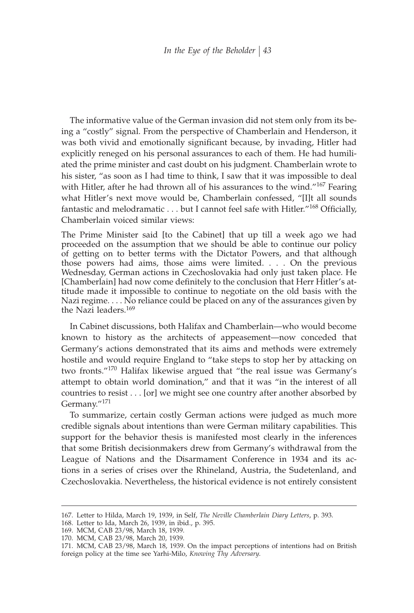The informative value of the German invasion did not stem only from its being a "costly" signal. From the perspective of Chamberlain and Henderson, it was both vivid and emotionally significant because, by invading, Hitler had explicitly reneged on his personal assurances to each of them. He had humiliated the prime minister and cast doubt on his judgment. Chamberlain wrote to his sister, "as soon as I had time to think, I saw that it was impossible to deal with Hitler, after he had thrown all of his assurances to the wind."<sup>167</sup> Fearing what Hitler's next move would be, Chamberlain confessed, "[I]t all sounds fantastic and melodramatic  $\dots$  but I cannot feel safe with Hitler."<sup>168</sup> Officially, Chamberlain voiced similar views:

The Prime Minister said [to the Cabinet] that up till a week ago we had proceeded on the assumption that we should be able to continue our policy of getting on to better terms with the Dictator Powers, and that although those powers had aims, those aims were limited. . . . On the previous Wednesday, German actions in Czechoslovakia had only just taken place. He [Chamberlain] had now come definitely to the conclusion that Herr Hitler's attitude made it impossible to continue to negotiate on the old basis with the Nazi regime.... No reliance could be placed on any of the assurances given by the Nazi leaders.169

In Cabinet discussions, both Halifax and Chamberlain—who would become known to history as the architects of appeasement—now conceded that Germany's actions demonstrated that its aims and methods were extremely hostile and would require England to "take steps to stop her by attacking on two fronts."<sup>170</sup> Halifax likewise argued that "the real issue was Germany's attempt to obtain world domination," and that it was "in the interest of all countries to resist... [or] we might see one country after another absorbed by Germany."<sup>171</sup>

To summarize, certain costly German actions were judged as much more credible signals about intentions than were German military capabilities. This support for the behavior thesis is manifested most clearly in the inferences that some British decisionmakers drew from Germany's withdrawal from the League of Nations and the Disarmament Conference in 1934 and its actions in a series of crises over the Rhineland, Austria, the Sudetenland, and Czechoslovakia. Nevertheless, the historical evidence is not entirely consistent

<sup>167.</sup> Letter to Hilda, March 19, 1939, in Self, *The Neville Chamberlain Diary Letters*, p. 393.

<sup>168.</sup> Letter to Ida, March 26, 1939, in ibid., p. 395.

<sup>169.</sup> MCM, CAB 23/98, March 18, 1939.

<sup>170.</sup> MCM, CAB 23/98, March 20, 1939.

<sup>171.</sup> MCM, CAB 23/98, March 18, 1939. On the impact perceptions of intentions had on British foreign policy at the time see Yarhi-Milo, *Knowing Thy Adversary*.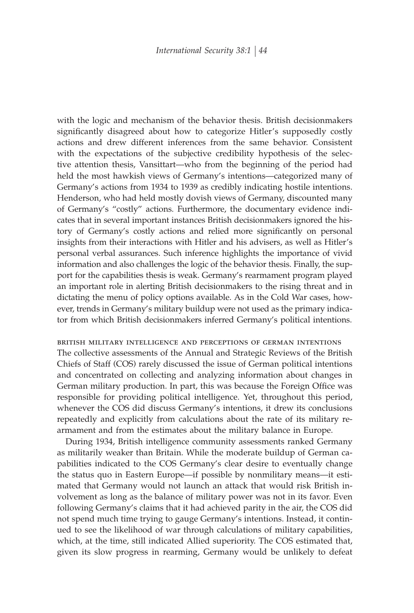with the logic and mechanism of the behavior thesis. British decisionmakers significantly disagreed about how to categorize Hitler's supposedly costly actions and drew different inferences from the same behavior. Consistent with the expectations of the subjective credibility hypothesis of the selective attention thesis, Vansittart—who from the beginning of the period had held the most hawkish views of Germany's intentions—categorized many of Germany's actions from 1934 to 1939 as credibly indicating hostile intentions. Henderson, who had held mostly dovish views of Germany, discounted many of Germany's "costly" actions. Furthermore, the documentary evidence indicates that in several important instances British decisionmakers ignored the history of Germany's costly actions and relied more significantly on personal insights from their interactions with Hitler and his advisers, as well as Hitler's personal verbal assurances. Such inference highlights the importance of vivid information and also challenges the logic of the behavior thesis. Finally, the support for the capabilities thesis is weak. Germany's rearmament program played an important role in alerting British decisionmakers to the rising threat and in dictating the menu of policy options available. As in the Cold War cases, however, trends in Germany's military buildup were not used as the primary indicator from which British decisionmakers inferred Germany's political intentions.

british military intelligence and perceptions of german intentions The collective assessments of the Annual and Strategic Reviews of the British Chiefs of Staff (COS) rarely discussed the issue of German political intentions and concentrated on collecting and analyzing information about changes in German military production. In part, this was because the Foreign Office was responsible for providing political intelligence. Yet, throughout this period, whenever the COS did discuss Germany's intentions, it drew its conclusions repeatedly and explicitly from calculations about the rate of its military rearmament and from the estimates about the military balance in Europe.

During 1934, British intelligence community assessments ranked Germany as militarily weaker than Britain. While the moderate buildup of German capabilities indicated to the COS Germany's clear desire to eventually change the status quo in Eastern Europe—if possible by nonmilitary means—it estimated that Germany would not launch an attack that would risk British involvement as long as the balance of military power was not in its favor. Even following Germany's claims that it had achieved parity in the air, the COS did not spend much time trying to gauge Germany's intentions. Instead, it continued to see the likelihood of war through calculations of military capabilities, which, at the time, still indicated Allied superiority. The COS estimated that, given its slow progress in rearming, Germany would be unlikely to defeat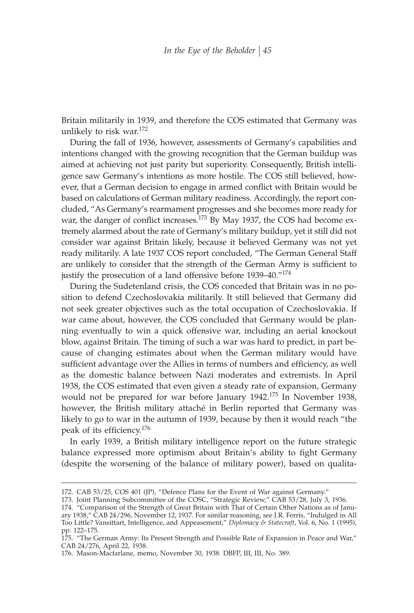Britain militarily in 1939, and therefore the COS estimated that Germany was unlikely to risk war.<sup>172</sup>

During the fall of 1936, however, assessments of Germany's capabilities and intentions changed with the growing recognition that the German buildup was aimed at achieving not just parity but superiority. Consequently, British intelligence saw Germany's intentions as more hostile. The COS still believed, however, that a German decision to engage in armed conflict with Britain would be based on calculations of German military readiness. Accordingly, the report concluded, "As Germany's rearmament progresses and she becomes more ready for war, the danger of conflict increases.<sup>173</sup> By May 1937, the COS had become extremely alarmed about the rate of Germany's military buildup, yet it still did not consider war against Britain likely, because it believed Germany was not yet ready militarily. A late 1937 COS report concluded, "The German General Staff are unlikely to consider that the strength of the German Army is sufficient to justify the prosecution of a land offensive before 1939–40."174

During the Sudetenland crisis, the COS conceded that Britain was in no position to defend Czechoslovakia militarily. It still believed that Germany did not seek greater objectives such as the total occupation of Czechoslovakia. If war came about, however, the COS concluded that Germany would be planning eventually to win a quick offensive war, including an aerial knockout blow, against Britain. The timing of such a war was hard to predict, in part because of changing estimates about when the German military would have sufficient advantage over the Allies in terms of numbers and efficiency, as well as the domestic balance between Nazi moderates and extremists. In April 1938, the COS estimated that even given a steady rate of expansion, Germany would not be prepared for war before January 1942.<sup>175</sup> In November 1938, however, the British military attaché in Berlin reported that Germany was likely to go to war in the autumn of 1939, because by then it would reach "the peak of its efficiency.<sup>176</sup>

In early 1939, a British military intelligence report on the future strategic balance expressed more optimism about Britain's ability to fight Germany (despite the worsening of the balance of military power), based on qualita-

<sup>172.</sup> CAB 53/25, COS 401 (JP), "Defence Plans for the Event of War against Germany."

<sup>173.</sup> Joint Planning Subcommittee of the COSC, "Strategic Review," CAB 53/28, July 3, 1936.

<sup>174. &</sup>quot;Comparison of the Strength of Great Britain with That of Certain Other Nations as of January 1938," CAB 24/296, November 12, 1937. For similar reasoning, see J.R. Ferris, "Indulged in All Too Little? Vansittart, Intelligence, and Appeasement," *Diplomacy & Statecraft*, Vol. 6, No. 1 (1995), pp. 122–175.

<sup>175. &</sup>quot;The German Army: Its Present Strength and Possible Rate of Expansion in Peace and War," CAB 24/276, April 22, 1938.

<sup>176.</sup> Mason-Macfarlane, memo, November 30, 1938. DBFP, III, III, No. 389.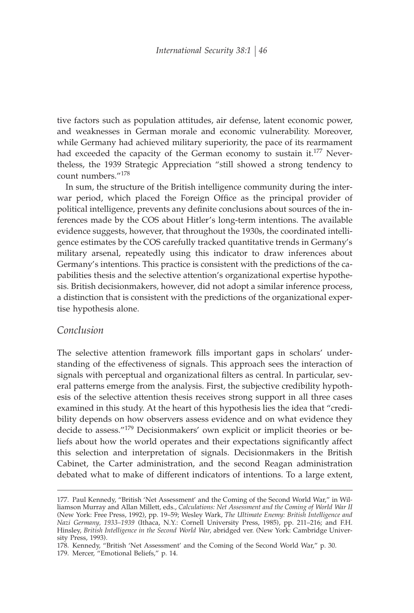tive factors such as population attitudes, air defense, latent economic power, and weaknesses in German morale and economic vulnerability. Moreover, while Germany had achieved military superiority, the pace of its rearmament had exceeded the capacity of the German economy to sustain it.<sup>177</sup> Nevertheless, the 1939 Strategic Appreciation "still showed a strong tendency to count numbers."<sup>178</sup>

In sum, the structure of the British intelligence community during the interwar period, which placed the Foreign Office as the principal provider of political intelligence, prevents any definite conclusions about sources of the inferences made by the COS about Hitler's long-term intentions. The available evidence suggests, however, that throughout the 1930s, the coordinated intelligence estimates by the COS carefully tracked quantitative trends in Germany's military arsenal, repeatedly using this indicator to draw inferences about Germany's intentions. This practice is consistent with the predictions of the capabilities thesis and the selective attention's organizational expertise hypothesis. British decisionmakers, however, did not adopt a similar inference process, a distinction that is consistent with the predictions of the organizational expertise hypothesis alone.

# *Conclusion*

The selective attention framework fills important gaps in scholars' understanding of the effectiveness of signals. This approach sees the interaction of signals with perceptual and organizational filters as central. In particular, several patterns emerge from the analysis. First, the subjective credibility hypothesis of the selective attention thesis receives strong support in all three cases examined in this study. At the heart of this hypothesis lies the idea that "credibility depends on how observers assess evidence and on what evidence they decide to assess."<sup>179</sup> Decisionmakers' own explicit or implicit theories or beliefs about how the world operates and their expectations significantly affect this selection and interpretation of signals. Decisionmakers in the British Cabinet, the Carter administration, and the second Reagan administration debated what to make of different indicators of intentions. To a large extent,

<sup>177.</sup> Paul Kennedy, "British 'Net Assessment' and the Coming of the Second World War," in Williamson Murray and Allan Millett, eds., *Calculations: Net Assessment and the Coming of World War II* (New York: Free Press, 1992), pp. 19–59; Wesley Wark, *The Ultimate Enemy: British Intelligence and Nazi Germany, 1933–1939* (Ithaca, N.Y.: Cornell University Press, 1985), pp. 211–216; and F.H. Hinsley, *British Intelligence in the Second World War*, abridged ver. (New York: Cambridge University Press, 1993).

<sup>178.</sup> Kennedy, "British 'Net Assessment' and the Coming of the Second World War," p. 30.

<sup>179.</sup> Mercer, "Emotional Beliefs," p. 14.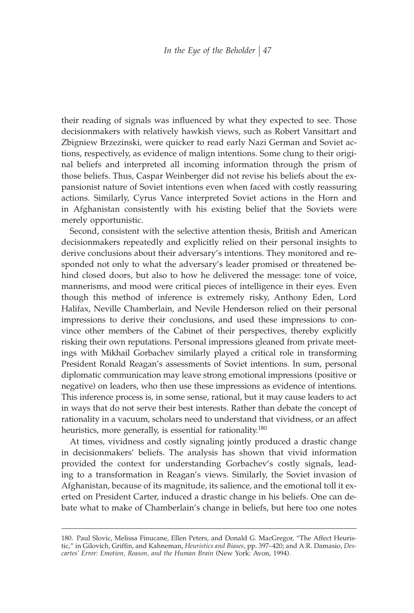their reading of signals was influenced by what they expected to see. Those decisionmakers with relatively hawkish views, such as Robert Vansittart and Zbigniew Brzezinski, were quicker to read early Nazi German and Soviet actions, respectively, as evidence of malign intentions. Some clung to their original beliefs and interpreted all incoming information through the prism of those beliefs. Thus, Caspar Weinberger did not revise his beliefs about the expansionist nature of Soviet intentions even when faced with costly reassuring actions. Similarly, Cyrus Vance interpreted Soviet actions in the Horn and in Afghanistan consistently with his existing belief that the Soviets were merely opportunistic.

Second, consistent with the selective attention thesis, British and American decisionmakers repeatedly and explicitly relied on their personal insights to derive conclusions about their adversary's intentions. They monitored and responded not only to what the adversary's leader promised or threatened behind closed doors, but also to how he delivered the message: tone of voice, mannerisms, and mood were critical pieces of intelligence in their eyes. Even though this method of inference is extremely risky, Anthony Eden, Lord Halifax, Neville Chamberlain, and Nevile Henderson relied on their personal impressions to derive their conclusions, and used these impressions to convince other members of the Cabinet of their perspectives, thereby explicitly risking their own reputations. Personal impressions gleaned from private meetings with Mikhail Gorbachev similarly played a critical role in transforming President Ronald Reagan's assessments of Soviet intentions. In sum, personal diplomatic communication may leave strong emotional impressions (positive or negative) on leaders, who then use these impressions as evidence of intentions. This inference process is, in some sense, rational, but it may cause leaders to act in ways that do not serve their best interests. Rather than debate the concept of rationality in a vacuum, scholars need to understand that vividness, or an affect heuristics, more generally, is essential for rationality.<sup>180</sup>

At times, vividness and costly signaling jointly produced a drastic change in decisionmakers' beliefs. The analysis has shown that vivid information provided the context for understanding Gorbachev's costly signals, leading to a transformation in Reagan's views. Similarly, the Soviet invasion of Afghanistan, because of its magnitude, its salience, and the emotional toll it exerted on President Carter, induced a drastic change in his beliefs. One can debate what to make of Chamberlain's change in beliefs, but here too one notes

<sup>180.</sup> Paul Slovic, Melissa Finucane, Ellen Peters, and Donald G. MacGregor, "The Affect Heuristic," in Gilovich, Griffin, and Kahneman, *Heuristics and Biases*, pp. 397-420; and A.R. Damasio, *Descartes' Error: Emotion, Reason, and the Human Brain* (New York: Avon, 1994).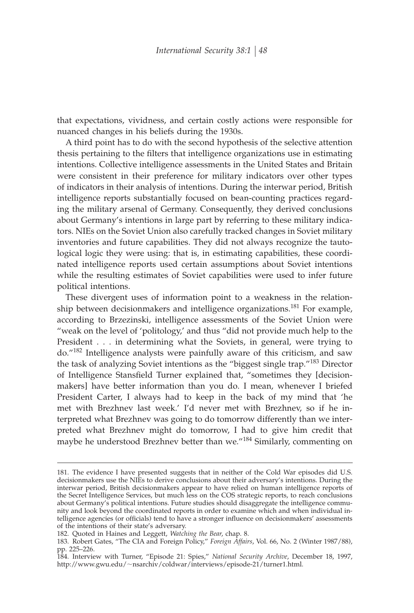that expectations, vividness, and certain costly actions were responsible for nuanced changes in his beliefs during the 1930s.

A third point has to do with the second hypothesis of the selective attention thesis pertaining to the filters that intelligence organizations use in estimating intentions. Collective intelligence assessments in the United States and Britain were consistent in their preference for military indicators over other types of indicators in their analysis of intentions. During the interwar period, British intelligence reports substantially focused on bean-counting practices regarding the military arsenal of Germany. Consequently, they derived conclusions about Germany's intentions in large part by referring to these military indicators. NIEs on the Soviet Union also carefully tracked changes in Soviet military inventories and future capabilities. They did not always recognize the tautological logic they were using: that is, in estimating capabilities, these coordinated intelligence reports used certain assumptions about Soviet intentions while the resulting estimates of Soviet capabilities were used to infer future political intentions.

These divergent uses of information point to a weakness in the relationship between decisionmakers and intelligence organizations.<sup>181</sup> For example, according to Brzezinski, intelligence assessments of the Soviet Union were "weak on the level of 'politology,' and thus "did not provide much help to the President . . . in determining what the Soviets, in general, were trying to do."<sup>182</sup> Intelligence analysts were painfully aware of this criticism, and saw the task of analyzing Soviet intentions as the "biggest single trap."<sup>183</sup> Director of Intelligence Stansfield Turner explained that, "sometimes they [decisionmakers] have better information than you do. I mean, whenever I briefed President Carter, I always had to keep in the back of my mind that 'he met with Brezhnev last week.' I'd never met with Brezhnev, so if he interpreted what Brezhnev was going to do tomorrow differently than we interpreted what Brezhnev might do tomorrow, I had to give him credit that maybe he understood Brezhnev better than we."<sup>184</sup> Similarly, commenting on

<sup>181.</sup> The evidence I have presented suggests that in neither of the Cold War episodes did U.S. decisionmakers use the NIEs to derive conclusions about their adversary's intentions. During the interwar period, British decisionmakers appear to have relied on human intelligence reports of the Secret Intelligence Services, but much less on the COS strategic reports, to reach conclusions about Germany's political intentions. Future studies should disaggregate the intelligence community and look beyond the coordinated reports in order to examine which and when individual intelligence agencies (or officials) tend to have a stronger influence on decisionmakers' assessments of the intentions of their state's adversary.

<sup>182.</sup> Quoted in Haines and Leggett, *Watching the Bear*, chap. 8.

<sup>183.</sup> Robert Gates, "The CIA and Foreign Policy," *Foreign Affairs*, Vol. 66, No. 2 (Winter 1987/88), pp. 225–226.

<sup>184.</sup> Interview with Turner, "Episode 21: Spies," *National Security Archive*, December 18, 1997, http://www.gwu.edu/~nsarchiv/coldwar/interviews/episode-21/turner1.html.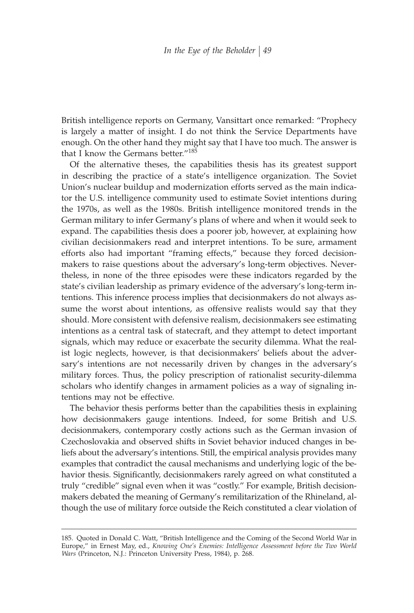British intelligence reports on Germany, Vansittart once remarked: "Prophecy is largely a matter of insight. I do not think the Service Departments have enough. On the other hand they might say that I have too much. The answer is that I know the Germans better."<sup>185</sup>

Of the alternative theses, the capabilities thesis has its greatest support in describing the practice of a state's intelligence organization. The Soviet Union's nuclear buildup and modernization efforts served as the main indicator the U.S. intelligence community used to estimate Soviet intentions during the 1970s, as well as the 1980s. British intelligence monitored trends in the German military to infer Germany's plans of where and when it would seek to expand. The capabilities thesis does a poorer job, however, at explaining how civilian decisionmakers read and interpret intentions. To be sure, armament efforts also had important "framing effects," because they forced decisionmakers to raise questions about the adversary's long-term objectives. Nevertheless, in none of the three episodes were these indicators regarded by the state's civilian leadership as primary evidence of the adversary's long-term intentions. This inference process implies that decisionmakers do not always assume the worst about intentions, as offensive realists would say that they should. More consistent with defensive realism, decisionmakers see estimating intentions as a central task of statecraft, and they attempt to detect important signals, which may reduce or exacerbate the security dilemma. What the realist logic neglects, however, is that decisionmakers' beliefs about the adversary's intentions are not necessarily driven by changes in the adversary's military forces. Thus, the policy prescription of rationalist security-dilemma scholars who identify changes in armament policies as a way of signaling intentions may not be effective.

The behavior thesis performs better than the capabilities thesis in explaining how decisionmakers gauge intentions. Indeed, for some British and U.S. decisionmakers, contemporary costly actions such as the German invasion of Czechoslovakia and observed shifts in Soviet behavior induced changes in beliefs about the adversary's intentions. Still, the empirical analysis provides many examples that contradict the causal mechanisms and underlying logic of the behavior thesis. Significantly, decisionmakers rarely agreed on what constituted a truly "credible" signal even when it was "costly." For example, British decisionmakers debated the meaning of Germany's remilitarization of the Rhineland, although the use of military force outside the Reich constituted a clear violation of

<sup>185.</sup> Quoted in Donald C. Watt, "British Intelligence and the Coming of the Second World War in Europe," in Ernest May, ed., *Knowing One's Enemies: Intelligence Assessment before the Two World Wars* (Princeton, N.J.: Princeton University Press, 1984), p. 268.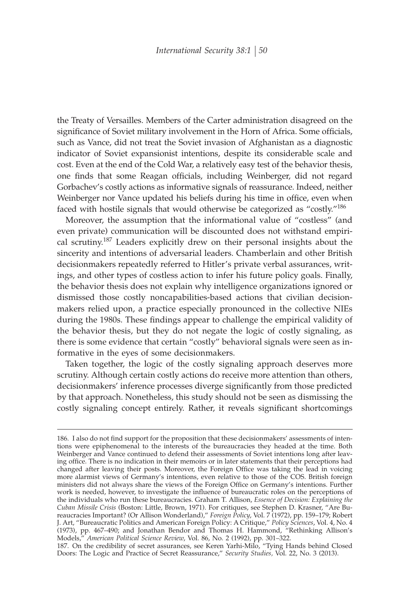the Treaty of Versailles. Members of the Carter administration disagreed on the significance of Soviet military involvement in the Horn of Africa. Some officials, such as Vance, did not treat the Soviet invasion of Afghanistan as a diagnostic indicator of Soviet expansionist intentions, despite its considerable scale and cost. Even at the end of the Cold War, a relatively easy test of the behavior thesis, one finds that some Reagan officials, including Weinberger, did not regard Gorbachev's costly actions as informative signals of reassurance. Indeed, neither Weinberger nor Vance updated his beliefs during his time in office, even when faced with hostile signals that would otherwise be categorized as "costly."186

Moreover, the assumption that the informational value of "costless" (and even private) communication will be discounted does not withstand empirical scrutiny.<sup>187</sup> Leaders explicitly drew on their personal insights about the sincerity and intentions of adversarial leaders. Chamberlain and other British decisionmakers repeatedly referred to Hitler's private verbal assurances, writings, and other types of costless action to infer his future policy goals. Finally, the behavior thesis does not explain why intelligence organizations ignored or dismissed those costly noncapabilities-based actions that civilian decisionmakers relied upon, a practice especially pronounced in the collective NIEs during the 1980s. These findings appear to challenge the empirical validity of the behavior thesis, but they do not negate the logic of costly signaling, as there is some evidence that certain "costly" behavioral signals were seen as informative in the eyes of some decisionmakers.

Taken together, the logic of the costly signaling approach deserves more scrutiny. Although certain costly actions do receive more attention than others, decisionmakers' inference processes diverge significantly from those predicted by that approach. Nonetheless, this study should not be seen as dismissing the costly signaling concept entirely. Rather, it reveals significant shortcomings

<sup>186.</sup> I also do not find support for the proposition that these decisionmakers' assessments of intentions were epiphenomenal to the interests of the bureaucracies they headed at the time. Both Weinberger and Vance continued to defend their assessments of Soviet intentions long after leaving office. There is no indication in their memoirs or in later statements that their perceptions had changed after leaving their posts. Moreover, the Foreign Office was taking the lead in voicing more alarmist views of Germany's intentions, even relative to those of the COS. British foreign ministers did not always share the views of the Foreign Office on Germany's intentions. Further work is needed, however, to investigate the influence of bureaucratic roles on the perceptions of the individuals who run these bureaucracies. Graham T. Allison, *Essence of Decision: Explaining the Cuban Missile Crisis* (Boston: Little, Brown, 1971). For critiques, see Stephen D. Krasner, "Are Bureaucracies Important? (Or Allison Wonderland)," *Foreign Policy*, Vol. 7 (1972), pp. 159–179; Robert J. Art, "Bureaucratic Politics and American Foreign Policy: A Critique," *Policy Sciences*, Vol. 4, No. 4 (1973), pp. 467–490; and Jonathan Bendor and Thomas H. Hammond, "Rethinking Allison's Models," *American Political Science Review*, Vol. 86, No. 2 (1992), pp. 301–322.

<sup>187.</sup> On the credibility of secret assurances, see Keren Yarhi-Milo, "Tying Hands behind Closed Doors: The Logic and Practice of Secret Reassurance," *Security Studies,* Vol. 22, No. 3 (2013).